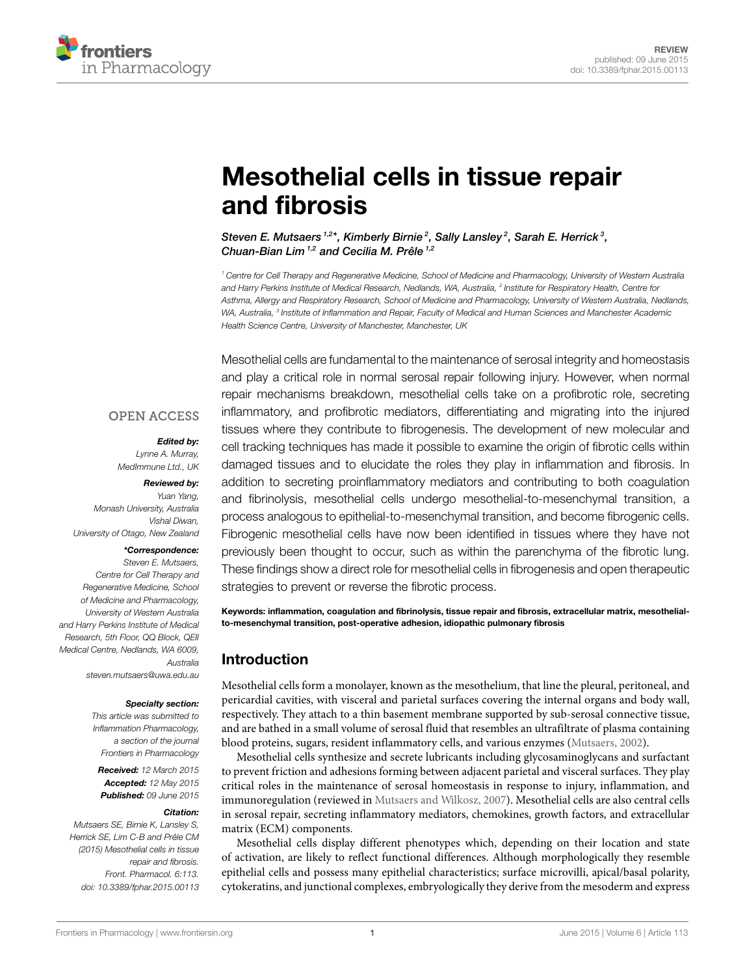

# **[Mesothelial cells in tissue repair](http://journal.frontiersin.org/article/10.3389/fphar.2015.00113/abstract) [and fibrosis](http://journal.frontiersin.org/article/10.3389/fphar.2015.00113/abstract)**

*[Steven E. Mutsaers](http://community.frontiersin.org/people/u/64857) 1,2 \*, Kimberly Birnie <sup>2</sup> , [Sally Lansley](http://community.frontiersin.org/people/u/237740) <sup>2</sup> , [Sarah E. Herrick](http://community.frontiersin.org/people/u/134810) <sup>3</sup> , [Chuan-Bian Lim](http://community.frontiersin.org/people/u/220727) 1,2 and Cecilia M. Prêle 1,2*

*<sup>1</sup> Centre for Cell Therapy and Regenerative Medicine, School of Medicine and Pharmacology, University of Western Australia and Harry Perkins Institute of Medical Research, Nedlands, WA, Australia, <sup>2</sup> Institute for Respiratory Health, Centre for Asthma, Allergy and Respiratory Research, School of Medicine and Pharmacology, University of Western Australia, Nedlands, WA, Australia, <sup>3</sup> Institute of Inflammation and Repair, Faculty of Medical and Human Sciences and Manchester Academic Health Science Centre, University of Manchester, Manchester, UK*

Mesothelial cells are fundamental to the maintenance of serosal integrity and homeostasis and play a critical role in normal serosal repair following injury. However, when normal repair mechanisms breakdown, mesothelial cells take on a profibrotic role, secreting inflammatory, and profibrotic mediators, differentiating and migrating into the injured tissues where they contribute to fibrogenesis. The development of new molecular and cell tracking techniques has made it possible to examine the origin of fibrotic cells within damaged tissues and to elucidate the roles they play in inflammation and fibrosis. In addition to secreting proinflammatory mediators and contributing to both coagulation and fibrinolysis, mesothelial cells undergo mesothelial-to-mesenchymal transition, a process analogous to epithelial-to-mesenchymal transition, and become fibrogenic cells. Fibrogenic mesothelial cells have now been identified in tissues where they have not previously been thought to occur, such as within the parenchyma of the fibrotic lung. These findings show a direct role for mesothelial cells in fibrogenesis and open therapeutic strategies to prevent or reverse the fibrotic process.

**Keywords: inflammation, coagulation and fibrinolysis, tissue repair and fibrosis, extracellular matrix, mesothelialto-mesenchymal transition, post-operative adhesion, idiopathic pulmonary fibrosis**

# **Introduction**

Mesothelial cells form a monolayer, known as the mesothelium, that line the pleural, peritoneal, and pericardial cavities, with visceral and parietal surfaces covering the internal organs and body wall, respectively. They attach to a thin basement membrane supported by sub-serosal connective tissue, and are bathed in a small volume of serosal fluid that resembles an ultrafiltrate of plasma containing blood proteins, sugars, resident inflammatory cells, and various enzymes([Mutsaers](#page-9-0), [2002\)](#page-9-0).

Mesothelial cells synthesize and secrete lubricants including glycosaminoglycans and surfactant to prevent friction and adhesions forming between adjacent parietal and visceral surfaces. They play critical roles in the maintenance of serosal homeostasis in response to injury, inflammation, and immunoregulation (reviewed in [Mutsaers and Wilkosz](#page-9-1), [2007\)](#page-9-1). Mesothelial cells are also central cells in serosal repair, secreting inflammatory mediators, chemokines, growth factors, and extracellular matrix (ECM) components.

Mesothelial cells display different phenotypes which, depending on their location and state of activation, are likely to reflect functional differences. Although morphologically they resemble epithelial cells and possess many epithelial characteristics; surface microvilli, apical/basal polarity, cytokeratins, and junctional complexes, embryologically they derive from the mesoderm and express

#### **OPEN ACCESS**

#### *Edited by:*

*Lynne A. Murray, MedImmune Ltd., UK*

#### *Reviewed by:*

*Yuan Yang, Monash University, Australia Vishal Diwan, University of Otago, New Zealand*

#### *\*Correspondence:*

*Steven E. Mutsaers, Centre for Cell Therapy and Regenerative Medicine, School of Medicine and Pharmacology, University of Western Australia and Harry Perkins Institute of Medical Research, 5th Floor, QQ Block, QEII Medical Centre, Nedlands, WA 6009, Australia [steven.mutsaers@uwa.edu.](mailto:steven.mutsaers@uwa.edu)au*

#### *Specialty section:*

*This article was submitted to Inflammation Pharmacology, a section of the journal Frontiers in Pharmacology*

*Received: 12 March 2015 Accepted: 12 May 2015 Published: 09 June 2015*

#### *Citation:*

*Mutsaers SE, Birnie K, Lansley S, Herrick SE, Lim C-B and Prêle CM (2015) Mesothelial cells in tissue repair and fibrosis. Front. Pharmacol. 6:113. [doi: 10.3389/fphar.2015.00113](http://dx.doi.org/10.3389/fphar.2015.00113)*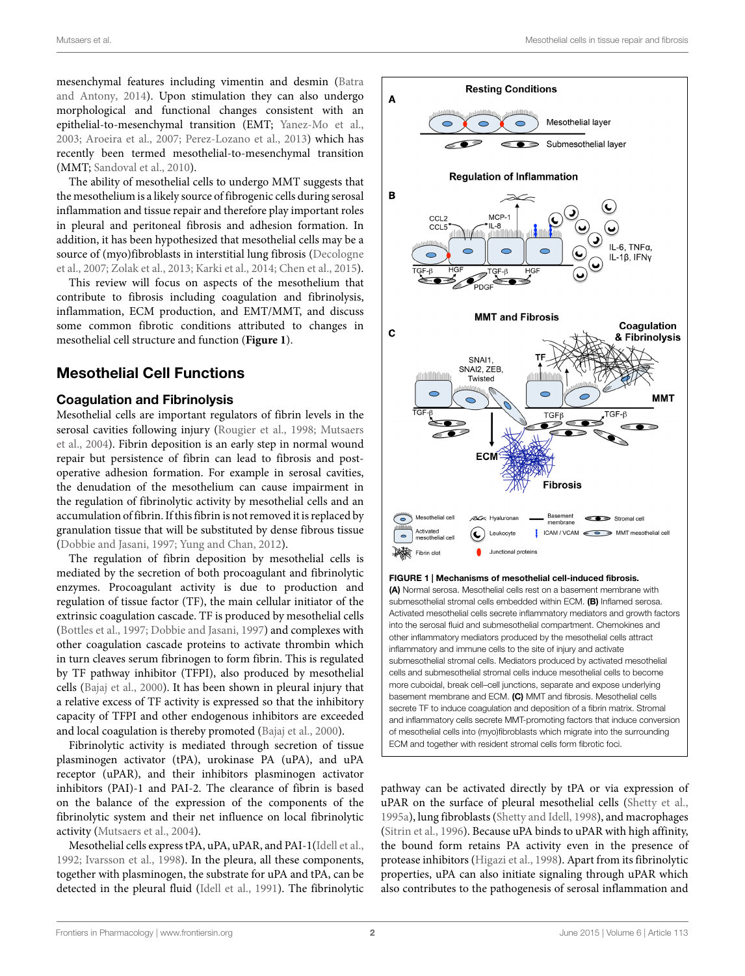mesenchymal features including vimentin and desmin([Batra](#page-7-0) [and Antony](#page-7-0), [2014](#page-7-0)). Upon stimulation they can also undergo morphological and functional changes consistent with an epithelial-to-mesenchymal transition (EMT; [Yanez-Mo et al.,](#page-11-0) [2003](#page-11-0); [Aroeira et al.,](#page-6-0) [2007;](#page-6-0) [Perez-Lozano et al.](#page-10-0), [2013](#page-10-0)) which has recently been termed mesothelial-to-mesenchymal transition (MMT; [Sandoval et al.](#page-10-1), [2010\)](#page-10-1).

The ability of mesothelial cells to undergo MMT suggests that the mesothelium is a likely source of fibrogenic cells during serosal inflammation and tissue repair and therefore play important roles in pleural and peritoneal fibrosis and adhesion formation. In addition, it has been hypothesized that mesothelial cells may be a source of (myo)fibroblasts in interstitial lung fibrosis [\(Decologne](#page-7-1) [et al.,](#page-7-1) [2007;](#page-7-1) [Zolak et al.](#page-11-1), [2013](#page-11-1); [Karki et al.,](#page-8-0) [2014](#page-8-0); [Chen et al.](#page-7-2), [2015](#page-7-2)).

This review will focus on aspects of the mesothelium that contribute to fibrosis including coagulation and fibrinolysis, inflammation, ECM production, and EMT/MMT, and discuss some common fibrotic conditions attributed to changes in mesothelial cell structure and function (**[Figure 1](#page-1-0)**).

# **Mesothelial Cell Functions**

#### **Coagulation and Fibrinolysis**

Mesothelial cells are important regulators of fibrin levels in the serosal cavities following injury [\(Rougier et al.,](#page-10-2) [1998;](#page-10-2) [Mutsaers](#page-9-2) [et al.](#page-9-2), [2004\)](#page-9-2). Fibrin deposition is an early step in normal wound repair but persistence of fibrin can lead to fibrosis and postoperative adhesion formation. For example in serosal cavities, the denudation of the mesothelium can cause impairment in the regulation of fibrinolytic activity by mesothelial cells and an accumulation of fibrin. If this fibrin is not removed it is replaced by granulation tissue that will be substituted by dense fibrous tissue [\(Dobbie and Jasani,](#page-7-3) [1997](#page-7-3); [Yung and Chan,](#page-11-2) [2012\)](#page-11-2).

The regulation of fibrin deposition by mesothelial cells is mediated by the secretion of both procoagulant and fibrinolytic enzymes. Procoagulant activity is due to production and regulation of tissue factor (TF), the main cellular initiator of the extrinsic coagulation cascade. TF is produced by mesothelial cells [\(Bottles et al.](#page-7-4), [1997](#page-7-4); [Dobbie and Jasani,](#page-7-3) [1997](#page-7-3)) and complexes with other coagulation cascade proteins to activate thrombin which in turn cleaves serum fibrinogen to form fibrin. This is regulated by TF pathway inhibitor (TFPI), also produced by mesothelial cells [\(Bajaj et al.,](#page-7-5) [2000](#page-7-5)). It has been shown in pleural injury that a relative excess of TF activity is expressed so that the inhibitory capacity of TFPI and other endogenous inhibitors are exceeded and local coagulation is thereby promoted [\(Bajaj et al.,](#page-7-5) [2000](#page-7-5)).

Fibrinolytic activity is mediated through secretion of tissue plasminogen activator (tPA), urokinase PA (uPA), and uPA receptor (uPAR), and their inhibitors plasminogen activator inhibitors (PAI)-1 and PAI-2. The clearance of fibrin is based on the balance of the expression of the components of the fibrinolytic system and their net influence on local fibrinolytic activity [\(Mutsaers et al.,](#page-9-2) [2004](#page-9-2)).

Mesothelial cells express tPA, uPA, uPAR, and PAI-1([Idell et al.,](#page-8-1) [1992](#page-8-1); [Ivarsson et al.](#page-8-2), [1998\)](#page-8-2). In the pleura, all these components, together with plasminogen, the substrate for uPA and tPA, can be detected in the pleural fluid([Idell et al.,](#page-8-3) [1991\)](#page-8-3). The fibrinolytic



<span id="page-1-0"></span>secrete TF to induce coagulation and deposition of a fibrin matrix. Stromal and inflammatory cells secrete MMT-promoting factors that induce conversion of mesothelial cells into (myo)fibroblasts which migrate into the surrounding ECM and together with resident stromal cells form fibrotic foci.

pathway can be activated directly by tPA or via expression of uPAR on the surface of pleural mesothelial cells([Shetty et al.](#page-10-3), [1995a\)](#page-10-3), lung fibroblasts([Shetty and Idell](#page-10-4), [1998](#page-10-4)), and macrophages ([Sitrin et al.](#page-10-5), [1996](#page-10-5)). Because uPA binds to uPAR with high affinity, the bound form retains PA activity even in the presence of protease inhibitors([Higazi et al.,](#page-8-4) [1998\)](#page-8-4). Apart from its fibrinolytic properties, uPA can also initiate signaling through uPAR which also contributes to the pathogenesis of serosal inflammation and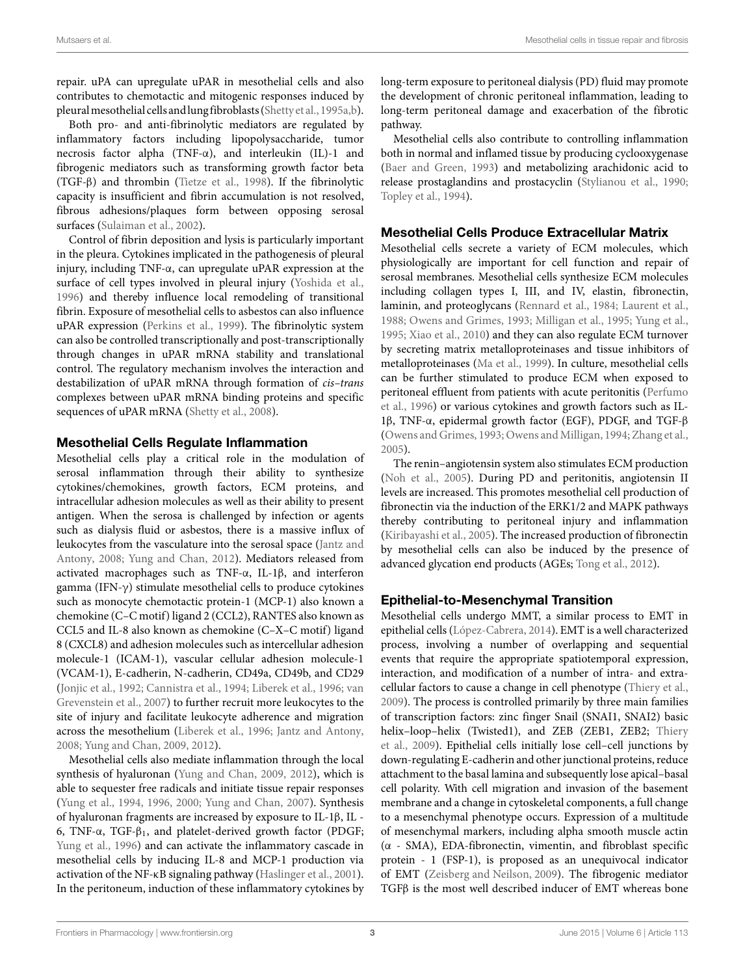repair. uPA can upregulate uPAR in mesothelial cells and also contributes to chemotactic and mitogenic responses induced by pleuralmesothelial cells andlungfibroblasts([Shetty et al.,1995a](#page-10-3),[b](#page-10-6)).

Both pro- and anti-fibrinolytic mediators are regulated by inflammatory factors including lipopolysaccharide, tumor necrosis factor alpha (TNF-α), and interleukin (IL)-1 and fibrogenic mediators such as transforming growth factor beta (TGF-β) and thrombin([Tietze et al.,](#page-10-7) [1998](#page-10-7)). If the fibrinolytic capacity is insufficient and fibrin accumulation is not resolved, fibrous adhesions/plaques form between opposing serosal surfaces [\(Sulaiman et al.](#page-10-8), [2002\)](#page-10-8).

Control of fibrin deposition and lysis is particularly important in the pleura. Cytokines implicated in the pathogenesis of pleural injury, including TNF-α, can upregulate uPAR expression at the surface of cell types involved in pleural injury([Yoshida et al.,](#page-11-3) [1996](#page-11-3)) and thereby influence local remodeling of transitional fibrin. Exposure of mesothelial cells to asbestos can also influence uPAR expression [\(Perkins et al.](#page-10-9), [1999](#page-10-9)). The fibrinolytic system can also be controlled transcriptionally and post-transcriptionally through changes in uPAR mRNA stability and translational control. The regulatory mechanism involves the interaction and destabilization of uPAR mRNA through formation of *cis–trans* complexes between uPAR mRNA binding proteins and specific sequences of uPAR mRNA [\(Shetty et al.,](#page-10-10) [2008](#page-10-10)).

#### **Mesothelial Cells Regulate Inflammation**

Mesothelial cells play a critical role in the modulation of serosal inflammation through their ability to synthesize cytokines/chemokines, growth factors, ECM proteins, and intracellular adhesion molecules as well as their ability to present antigen. When the serosa is challenged by infection or agents such as dialysis fluid or asbestos, there is a massive influx of leukocytes from the vasculature into the serosal space [\(Jantz and](#page-8-5) [Antony](#page-8-5), [2008](#page-8-5); [Yung and Chan,](#page-11-2) [2012\)](#page-11-2). Mediators released from activated macrophages such as TNF-α, IL-1β, and interferon gamma (IFN-γ) stimulate mesothelial cells to produce cytokines such as monocyte chemotactic protein-1 (MCP-1) also known a chemokine (C–C motif) ligand 2 (CCL2), RANTES also known as CCL5 and IL-8 also known as chemokine (C–X–C motif) ligand 8 (CXCL8) and adhesion molecules such as intercellular adhesion molecule-1 (ICAM-1), vascular cellular adhesion molecule-1 (VCAM-1), E-cadherin, N-cadherin, CD49a, CD49b, and CD29 [\(Jonjic et al.](#page-8-6), [1992;](#page-8-6) [Cannistra et al.](#page-7-6), [1994](#page-7-6); [Liberek et al.](#page-9-3), [1996;](#page-9-3) [van](#page-11-4) [Grevenstein et al.,](#page-11-4) [2007](#page-11-4)) to further recruit more leukocytes to the site of injury and facilitate leukocyte adherence and migration across the mesothelium [\(Liberek et al.,](#page-9-3) [1996](#page-9-3); [Jantz and Antony,](#page-8-5) [2008](#page-8-5); [Yung and Chan](#page-11-5), [2009,](#page-11-5) [2012](#page-11-2)).

Mesothelial cells also mediate inflammation through the local synthesis of hyaluronan([Yung and Chan](#page-11-5), [2009,](#page-11-5) [2012](#page-11-2)), which is able to sequester free radicals and initiate tissue repair responses [\(Yung et al.](#page-11-6), [1994,](#page-11-6) [1996,](#page-11-7) [2000;](#page-11-8) [Yung and Chan](#page-11-9), [2007](#page-11-9)). Synthesis of hyaluronan fragments are increased by exposure to IL-1β, IL - 6, TNF-α, TGF-β1, and platelet-derived growth factor (PDGF; [Yung et al.](#page-11-7), [1996\)](#page-11-7) and can activate the inflammatory cascade in mesothelial cells by inducing IL-8 and MCP-1 production via activation of the NF-κB signaling pathway([Haslinger et al.](#page-8-7), [2001](#page-8-7)). In the peritoneum, induction of these inflammatory cytokines by long-term exposure to peritoneal dialysis (PD) fluid may promote the development of chronic peritoneal inflammation, leading to long-term peritoneal damage and exacerbation of the fibrotic pathway.

Mesothelial cells also contribute to controlling inflammation both in normal and inflamed tissue by producing cyclooxygenase ([Baer and Green,](#page-7-7) [1993](#page-7-7)) and metabolizing arachidonic acid to release prostaglandins and prostacyclin([Stylianou et al.,](#page-10-11) [1990](#page-10-11); [Topley et al.,](#page-11-10) [1994](#page-11-10)).

### **Mesothelial Cells Produce Extracellular Matrix**

Mesothelial cells secrete a variety of ECM molecules, which physiologically are important for cell function and repair of serosal membranes. Mesothelial cells synthesize ECM molecules including collagen types I, III, and IV, elastin, fibronectin, laminin, and proteoglycans([Rennard et al.,](#page-10-12) [1984](#page-10-12); [Laurent et al.](#page-9-4), [1988;](#page-9-4) [Owens and Grimes,](#page-10-13) [1993](#page-10-13); [Milligan et al.](#page-9-5), [1995](#page-9-5); [Yung et al.](#page-11-11), [1995;](#page-11-11) [Xiao et al.](#page-11-12), [2010](#page-11-12)) and they can also regulate ECM turnover by secreting matrix metalloproteinases and tissue inhibitors of metalloproteinases [\(Ma et al.,](#page-9-6) [1999\)](#page-9-6). In culture, mesothelial cells can be further stimulated to produce ECM when exposed to peritoneal effluent from patients with acute peritonitis [\(Perfumo](#page-10-14) [et al.,](#page-10-14) [1996](#page-10-14)) or various cytokines and growth factors such as IL-1β, TNF-α, epidermal growth factor (EGF), PDGF, and TGF-β ([Owens and Grimes](#page-10-13), [1993;](#page-10-13) [Owens and Milligan,](#page-10-15) [1994;](#page-10-15) [Zhang et al.](#page-11-13), [2005\)](#page-11-13).

The renin–angiotensin system also stimulates ECM production ([Noh et al.,](#page-9-7) [2005](#page-9-7)). During PD and peritonitis, angiotensin II levels are increased. This promotes mesothelial cell production of fibronectin via the induction of the ERK1/2 and MAPK pathways thereby contributing to peritoneal injury and inflammation ([Kiribayashi et al.](#page-8-8), [2005\)](#page-8-8). The increased production of fibronectin by mesothelial cells can also be induced by the presence of advanced glycation end products (AGEs; [Tong et al.](#page-10-16), [2012\)](#page-10-16).

## **Epithelial-to-Mesenchymal Transition**

Mesothelial cells undergo MMT, a similar process to EMT in epithelial cells [\(López-Cabrera,](#page-9-8) [2014\)](#page-9-8). EMT is a well characterized process, involving a number of overlapping and sequential events that require the appropriate spatiotemporal expression, interaction, and modification of a number of intra- and extracellular factors to cause a change in cell phenotype [\(Thiery et al.](#page-10-17), [2009\)](#page-10-17). The process is controlled primarily by three main families of transcription factors: zinc finger Snail (SNAI1, SNAI2) basic helix–loop–helix (Twisted1), and ZEB (ZEB1, ZEB2; [Thiery](#page-10-17) [et al.,](#page-10-17) [2009\)](#page-10-17). Epithelial cells initially lose cell–cell junctions by down-regulating E-cadherin and other junctional proteins, reduce attachment to the basal lamina and subsequently lose apical–basal cell polarity. With cell migration and invasion of the basement membrane and a change in cytoskeletal components, a full change to a mesenchymal phenotype occurs. Expression of a multitude of mesenchymal markers, including alpha smooth muscle actin (α - SMA), EDA-fibronectin, vimentin, and fibroblast specific protein - 1 (FSP-1), is proposed as an unequivocal indicator of EMT([Zeisberg and Neilson,](#page-11-14) [2009](#page-11-14)). The fibrogenic mediator TGFβ is the most well described inducer of EMT whereas bone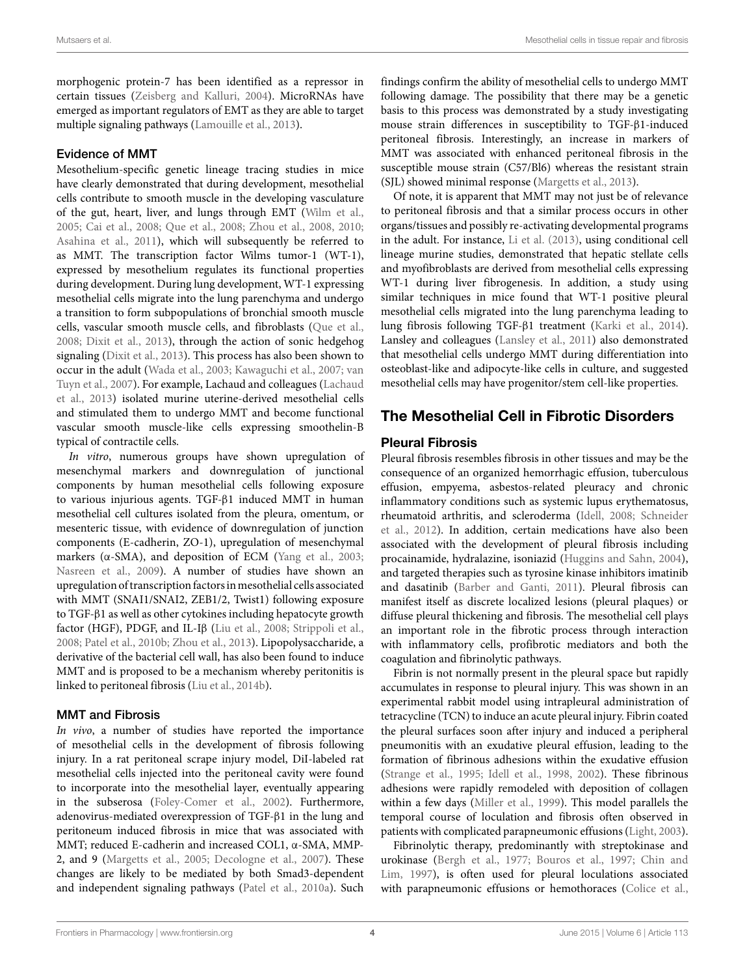morphogenic protein-7 has been identified as a repressor in certain tissues([Zeisberg and Kalluri,](#page-11-15) [2004](#page-11-15)). MicroRNAs have emerged as important regulators of EMT as they are able to target multiple signaling pathways([Lamouille et al.,](#page-8-9) [2013](#page-8-9)).

#### Evidence of MMT

Mesothelium-specific genetic lineage tracing studies in mice have clearly demonstrated that during development, mesothelial cells contribute to smooth muscle in the developing vasculature of the gut, heart, liver, and lungs through EMT [\(Wilm et al.,](#page-11-16) [2005](#page-11-16); [Cai et al.,](#page-7-8) [2008](#page-7-8); [Que et al.](#page-10-18), [2008;](#page-10-18) [Zhou et al.,](#page-11-17) [2008](#page-11-17), [2010;](#page-11-18) [Asahina et al.,](#page-7-9) [2011](#page-7-9)), which will subsequently be referred to as MMT. The transcription factor Wilms tumor-1 (WT-1), expressed by mesothelium regulates its functional properties during development. During lung development, WT-1 expressing mesothelial cells migrate into the lung parenchyma and undergo a transition to form subpopulations of bronchial smooth muscle cells, vascular smooth muscle cells, and fibroblasts([Que et al.,](#page-10-18) [2008](#page-10-18); [Dixit et al.,](#page-7-10) [2013](#page-7-10)), through the action of sonic hedgehog signaling([Dixit et al.](#page-7-10), [2013\)](#page-7-10). This process has also been shown to occur in the adult [\(Wada et al.](#page-11-19), [2003](#page-11-19); [Kawaguchi et al.,](#page-8-10) [2007;](#page-8-10) [van](#page-11-20) [Tuyn et al.](#page-11-20), [2007](#page-11-20)). For example, Lachaud and colleagues [\(Lachaud](#page-8-11) [et al.](#page-8-11), [2013\)](#page-8-11) isolated murine uterine-derived mesothelial cells and stimulated them to undergo MMT and become functional vascular smooth muscle-like cells expressing smoothelin-B typical of contractile cells.

*In vitro*, numerous groups have shown upregulation of mesenchymal markers and downregulation of junctional components by human mesothelial cells following exposure to various injurious agents. TGF-β1 induced MMT in human mesothelial cell cultures isolated from the pleura, omentum, or mesenteric tissue, with evidence of downregulation of junction components (E-cadherin, ZO-1), upregulation of mesenchymal markers (α-SMA), and deposition of ECM [\(Yang et al.](#page-11-21), [2003;](#page-11-21) [Nasreen et al.](#page-9-9), [2009\)](#page-9-9). A number of studies have shown an upregulation of transcription factors in mesothelial cells associated with MMT (SNAI1/SNAI2, ZEB1/2, Twist1) following exposure to TGF-β1 as well as other cytokines including hepatocyte growth factor (HGF), PDGF, and IL-Iβ ([Liu et al.,](#page-9-10) [2008](#page-9-10); [Strippoli et al.,](#page-10-19) [2008](#page-10-19); [Patel et al.](#page-10-20), [2010b](#page-10-20); [Zhou et al.](#page-11-22), [2013\)](#page-11-22). Lipopolysaccharide, a derivative of the bacterial cell wall, has also been found to induce MMT and is proposed to be a mechanism whereby peritonitis is linked to peritoneal fibrosis [\(Liu et al.](#page-9-11), [2014b\)](#page-9-11).

## MMT and Fibrosis

*In vivo*, a number of studies have reported the importance of mesothelial cells in the development of fibrosis following injury. In a rat peritoneal scrape injury model, DiI-labeled rat mesothelial cells injected into the peritoneal cavity were found to incorporate into the mesothelial layer, eventually appearing in the subserosa [\(Foley-Comer et al.,](#page-7-11) [2002](#page-7-11)). Furthermore, adenovirus-mediated overexpression of TGF-β1 in the lung and peritoneum induced fibrosis in mice that was associated with MMT; reduced E-cadherin and increased COL1, α-SMA, MMP-2, and 9 [\(Margetts et al.](#page-9-12), [2005](#page-9-12); [Decologne et al.](#page-7-1), [2007](#page-7-1)). These changes are likely to be mediated by both Smad3-dependent and independent signaling pathways [\(Patel et al.](#page-10-21), [2010a](#page-10-21)). Such findings confirm the ability of mesothelial cells to undergo MMT following damage. The possibility that there may be a genetic basis to this process was demonstrated by a study investigating mouse strain differences in susceptibility to TGF-β1-induced peritoneal fibrosis. Interestingly, an increase in markers of MMT was associated with enhanced peritoneal fibrosis in the susceptible mouse strain (C57/Bl6) whereas the resistant strain (SJL) showed minimal response([Margetts et al.,](#page-9-13) [2013](#page-9-13)).

Of note, it is apparent that MMT may not just be of relevance to peritoneal fibrosis and that a similar process occurs in other organs/tissues and possibly re-activating developmental programs in the adult. For instance, [Li et al.](#page-9-14) [\(2013\)](#page-9-14), using conditional cell lineage murine studies, demonstrated that hepatic stellate cells and myofibroblasts are derived from mesothelial cells expressing WT-1 during liver fibrogenesis. In addition, a study using similar techniques in mice found that WT-1 positive pleural mesothelial cells migrated into the lung parenchyma leading to lung fibrosis following TGF-β1 treatment [\(Karki et al.](#page-8-0), [2014\)](#page-8-0). Lansley and colleagues([Lansley et al.,](#page-8-12) [2011](#page-8-12)) also demonstrated that mesothelial cells undergo MMT during differentiation into osteoblast-like and adipocyte-like cells in culture, and suggested mesothelial cells may have progenitor/stem cell-like properties.

# **The Mesothelial Cell in Fibrotic Disorders**

### **Pleural Fibrosis**

Pleural fibrosis resembles fibrosis in other tissues and may be the consequence of an organized hemorrhagic effusion, tuberculous effusion, empyema, asbestos-related pleuracy and chronic inflammatory conditions such as systemic lupus erythematosus, rheumatoid arthritis, and scleroderma([Idell,](#page-8-13) [2008;](#page-8-13) [Schneider](#page-10-22) [et al.](#page-10-22), [2012](#page-10-22)). In addition, certain medications have also been associated with the development of pleural fibrosis including procainamide, hydralazine, isoniazid([Huggins and Sahn,](#page-8-14) [2004\)](#page-8-14), and targeted therapies such as tyrosine kinase inhibitors imatinib and dasatinib [\(Barber and Ganti](#page-7-12), [2011](#page-7-12)). Pleural fibrosis can manifest itself as discrete localized lesions (pleural plaques) or diffuse pleural thickening and fibrosis. The mesothelial cell plays an important role in the fibrotic process through interaction with inflammatory cells, profibrotic mediators and both the coagulation and fibrinolytic pathways.

Fibrin is not normally present in the pleural space but rapidly accumulates in response to pleural injury. This was shown in an experimental rabbit model using intrapleural administration of tetracycline (TCN) to induce an acute pleural injury. Fibrin coated the pleural surfaces soon after injury and induced a peripheral pneumonitis with an exudative pleural effusion, leading to the formation of fibrinous adhesions within the exudative effusion ([Strange et al.,](#page-10-23) [1995](#page-10-23); [Idell et al.,](#page-8-15) [1998](#page-8-15), [2002\)](#page-8-16). These fibrinous adhesions were rapidly remodeled with deposition of collagen within a few days [\(Miller et al.](#page-9-15), [1999\)](#page-9-15). This model parallels the temporal course of loculation and fibrosis often observed in patients with complicated parapneumonic effusions([Light,](#page-9-16) [2003\)](#page-9-16).

Fibrinolytic therapy, predominantly with streptokinase and urokinase([Bergh et al.](#page-7-13), [1977;](#page-7-13) [Bouros et al.,](#page-7-14) [1997;](#page-7-14) [Chin and](#page-7-15) [Lim,](#page-7-15) [1997\)](#page-7-15), is often used for pleural loculations associated with parapneumonic effusions or hemothoraces [\(Colice et al.](#page-7-16),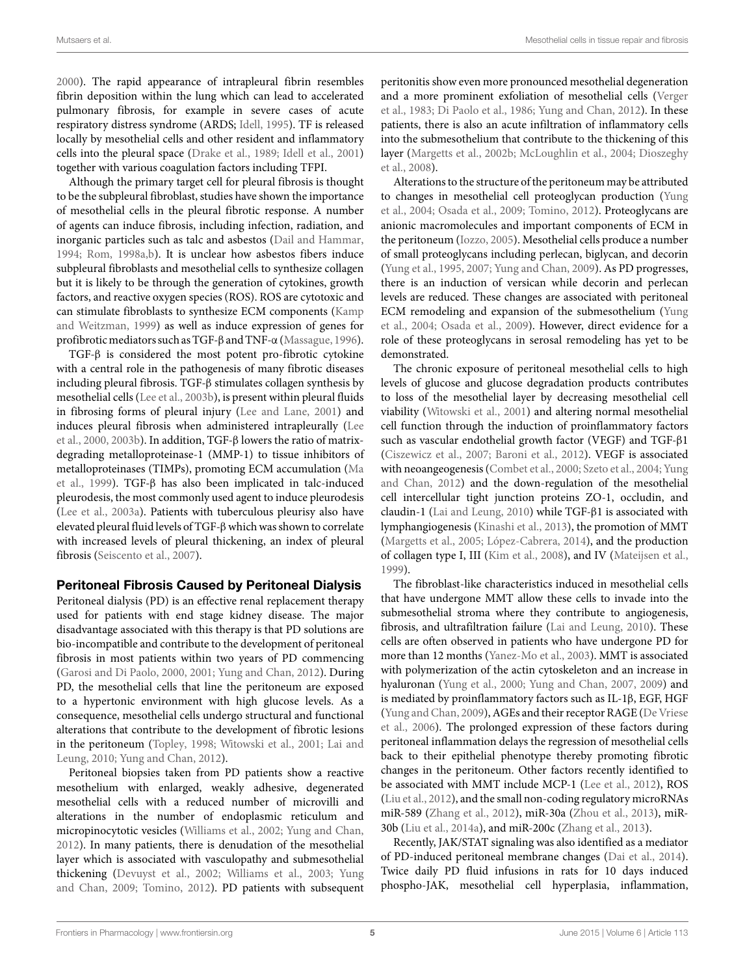[2000](#page-7-16)). The rapid appearance of intrapleural fibrin resembles fibrin deposition within the lung which can lead to accelerated pulmonary fibrosis, for example in severe cases of acute respiratory distress syndrome (ARDS; [Idell](#page-8-17), [1995\)](#page-8-17). TF is released locally by mesothelial cells and other resident and inflammatory cells into the pleural space [\(Drake et al.,](#page-7-17) [1989](#page-7-17); [Idell et al.](#page-8-18), [2001\)](#page-8-18) together with various coagulation factors including TFPI.

Although the primary target cell for pleural fibrosis is thought to be the subpleural fibroblast, studies have shown the importance of mesothelial cells in the pleural fibrotic response. A number of agents can induce fibrosis, including infection, radiation, and inorganic particles such as talc and asbestos([Dail and Hammar,](#page-7-18) [1994](#page-7-18); [Rom,](#page-10-24) [1998a](#page-10-24)[,b](#page-10-25)). It is unclear how asbestos fibers induce subpleural fibroblasts and mesothelial cells to synthesize collagen but it is likely to be through the generation of cytokines, growth factors, and reactive oxygen species (ROS). ROS are cytotoxic and can stimulate fibroblasts to synthesize ECM components([Kamp](#page-8-19) [and Weitzman](#page-8-19), [1999\)](#page-8-19) as well as induce expression of genes for profibroticmediators such as TGF-β and TNF-α([Massague,](#page-9-17) [1996](#page-9-17)).

TGF-β is considered the most potent pro-fibrotic cytokine with a central role in the pathogenesis of many fibrotic diseases including pleural fibrosis. TGF-β stimulates collagen synthesis by mesothelial cells([Lee et al.,](#page-9-18) [2003b\)](#page-9-18), is present within pleural fluids in fibrosing forms of pleural injury([Lee and Lane](#page-9-19), [2001\)](#page-9-19) and induces pleural fibrosis when administered intrapleurally([Lee](#page-9-20) [et al.,](#page-9-20) [2000,](#page-9-20) [2003b\)](#page-9-18). In addition, TGF-β lowers the ratio of matrixdegrading metalloproteinase-1 (MMP-1) to tissue inhibitors of metalloproteinases (TIMPs), promoting ECM accumulation [\(Ma](#page-9-6) [et al.,](#page-9-6) [1999](#page-9-6)). TGF-β has also been implicated in talc-induced pleurodesis, the most commonly used agent to induce pleurodesis [\(Lee et al.,](#page-9-21) [2003a\)](#page-9-21). Patients with tuberculous pleurisy also have elevated pleural fluid levels of TGF-βwhich was shown to correlate with increased levels of pleural thickening, an index of pleural fibrosis [\(Seiscento et al.,](#page-10-26) [2007](#page-10-26)).

#### **Peritoneal Fibrosis Caused by Peritoneal Dialysis**

Peritoneal dialysis (PD) is an effective renal replacement therapy used for patients with end stage kidney disease. The major disadvantage associated with this therapy is that PD solutions are bio-incompatible and contribute to the development of peritoneal fibrosis in most patients within two years of PD commencing [\(Garosi and Di Paolo,](#page-7-19) [2000](#page-7-19), [2001;](#page-7-20) [Yung and Chan](#page-11-2), [2012\)](#page-11-2). During PD, the mesothelial cells that line the peritoneum are exposed to a hypertonic environment with high glucose levels. As a consequence, mesothelial cells undergo structural and functional alterations that contribute to the development of fibrotic lesions in the peritoneum([Topley](#page-10-27), [1998;](#page-10-27) [Witowski et al.,](#page-11-23) [2001](#page-11-23); [Lai and](#page-8-20) [Leung,](#page-8-20) [2010](#page-8-20); [Yung and Chan](#page-11-2), [2012\)](#page-11-2).

Peritoneal biopsies taken from PD patients show a reactive mesothelium with enlarged, weakly adhesive, degenerated mesothelial cells with a reduced number of microvilli and alterations in the number of endoplasmic reticulum and micropinocytotic vesicles [\(Williams et al.](#page-11-24), [2002](#page-11-24); [Yung and Chan,](#page-11-2) [2012](#page-11-2)). In many patients, there is denudation of the mesothelial layer which is associated with vasculopathy and submesothelial thickening [\(Devuyst et al.](#page-7-21), [2002](#page-7-21); [Williams et al.](#page-11-25), [2003](#page-11-25); [Yung](#page-11-5) [and Chan,](#page-11-5) [2009](#page-11-5); [Tomino](#page-10-28), [2012](#page-10-28)). PD patients with subsequent peritonitis show even more pronounced mesothelial degeneration and a more prominent exfoliation of mesothelial cells [\(Verger](#page-11-26) [et al.](#page-11-26), [1983](#page-11-26); [Di Paolo et al.](#page-7-22), [1986;](#page-7-22) [Yung and Chan](#page-11-2), [2012](#page-11-2)). In these patients, there is also an acute infiltration of inflammatory cells into the submesothelium that contribute to the thickening of this layer([Margetts et al.,](#page-9-22) [2002b](#page-9-22); [McLoughlin et al.,](#page-9-23) [2004;](#page-9-23) [Dioszeghy](#page-7-23) [et al.](#page-7-23), [2008\)](#page-7-23).

Alterations to the structure of the peritoneum may be attributed to changes in mesothelial cell proteoglycan production([Yung](#page-11-27) [et al.,](#page-11-27) [2004;](#page-11-27) [Osada et al.,](#page-9-24) [2009;](#page-9-24) [Tomino](#page-10-28), [2012](#page-10-28)). Proteoglycans are anionic macromolecules and important components of ECM in the peritoneum([Iozzo](#page-8-21), [2005](#page-8-21)). Mesothelial cells produce a number of small proteoglycans including perlecan, biglycan, and decorin ([Yung et al.,](#page-11-11) [1995,](#page-11-11) [2007](#page-11-28); [Yung and Chan](#page-11-5), [2009](#page-11-5)). As PD progresses, there is an induction of versican while decorin and perlecan levels are reduced. These changes are associated with peritoneal ECM remodeling and expansion of the submesothelium([Yung](#page-11-27) [et al.](#page-11-27), [2004](#page-11-27); [Osada et al.,](#page-9-24) [2009](#page-9-24)). However, direct evidence for a role of these proteoglycans in serosal remodeling has yet to be demonstrated.

The chronic exposure of peritoneal mesothelial cells to high levels of glucose and glucose degradation products contributes to loss of the mesothelial layer by decreasing mesothelial cell viability [\(Witowski et al.,](#page-11-23) [2001\)](#page-11-23) and altering normal mesothelial cell function through the induction of proinflammatory factors such as vascular endothelial growth factor (VEGF) and TGF-β1 ([Ciszewicz et al.](#page-7-24), [2007;](#page-7-24) [Baroni et al.](#page-7-25), [2012\)](#page-7-25). VEGF is associated with neoangeogenesis [\(Combet et al.,](#page-7-26) [2000](#page-7-26); [Szeto et al.,](#page-10-29) [2004;](#page-10-29) [Yung](#page-11-2) [and Chan,](#page-11-2) [2012](#page-11-2)) and the down-regulation of the mesothelial cell intercellular tight junction proteins ZO-1, occludin, and claudin-1 [\(Lai and Leung,](#page-8-20) [2010](#page-8-20)) while TGF-β1 is associated with lymphangiogenesis [\(Kinashi et al.,](#page-8-22) [2013](#page-8-22)), the promotion of MMT ([Margetts et al.,](#page-9-12) [2005](#page-9-12); [López-Cabrera,](#page-9-8) [2014\)](#page-9-8), and the production of collagen type I, III [\(Kim et al.,](#page-8-23) [2008](#page-8-23)), and IV([Mateijsen et al.](#page-9-25), [1999\)](#page-9-25).

The fibroblast-like characteristics induced in mesothelial cells that have undergone MMT allow these cells to invade into the submesothelial stroma where they contribute to angiogenesis, fibrosis, and ultrafiltration failure([Lai and Leung,](#page-8-20) [2010](#page-8-20)). These cells are often observed in patients who have undergone PD for more than 12 months([Yanez-Mo et al.](#page-11-0), [2003](#page-11-0)). MMT is associated with polymerization of the actin cytoskeleton and an increase in hyaluronan([Yung et al.,](#page-11-8) [2000](#page-11-8); [Yung and Chan](#page-11-9), [2007,](#page-11-9) [2009\)](#page-11-5) and is mediated by proinflammatory factors such as IL-1β, EGF, HGF ([Yung and Chan](#page-11-5), [2009\)](#page-11-5), AGEs and their receptor RAGE [\(De Vriese](#page-7-27) [et al.,](#page-7-27) [2006\)](#page-7-27). The prolonged expression of these factors during peritoneal inflammation delays the regression of mesothelial cells back to their epithelial phenotype thereby promoting fibrotic changes in the peritoneum. Other factors recently identified to be associated with MMT include MCP-1([Lee et al.](#page-9-26), [2012\)](#page-9-26), ROS ([Liu et al.,](#page-9-27) [2012\)](#page-9-27), and the small non-coding regulatory microRNAs miR-589 [\(Zhang et al.,](#page-11-29) [2012\)](#page-11-29), miR-30a [\(Zhou et al.,](#page-11-22) [2013\)](#page-11-22), miR-30b([Liu et al.](#page-9-28), [2014a\)](#page-9-28), and miR-200c [\(Zhang et al.](#page-11-30), [2013\)](#page-11-30).

Recently, JAK/STAT signaling was also identified as a mediator of PD-induced peritoneal membrane changes [\(Dai et al.](#page-7-28), [2014\)](#page-7-28). Twice daily PD fluid infusions in rats for 10 days induced phospho-JAK, mesothelial cell hyperplasia, inflammation,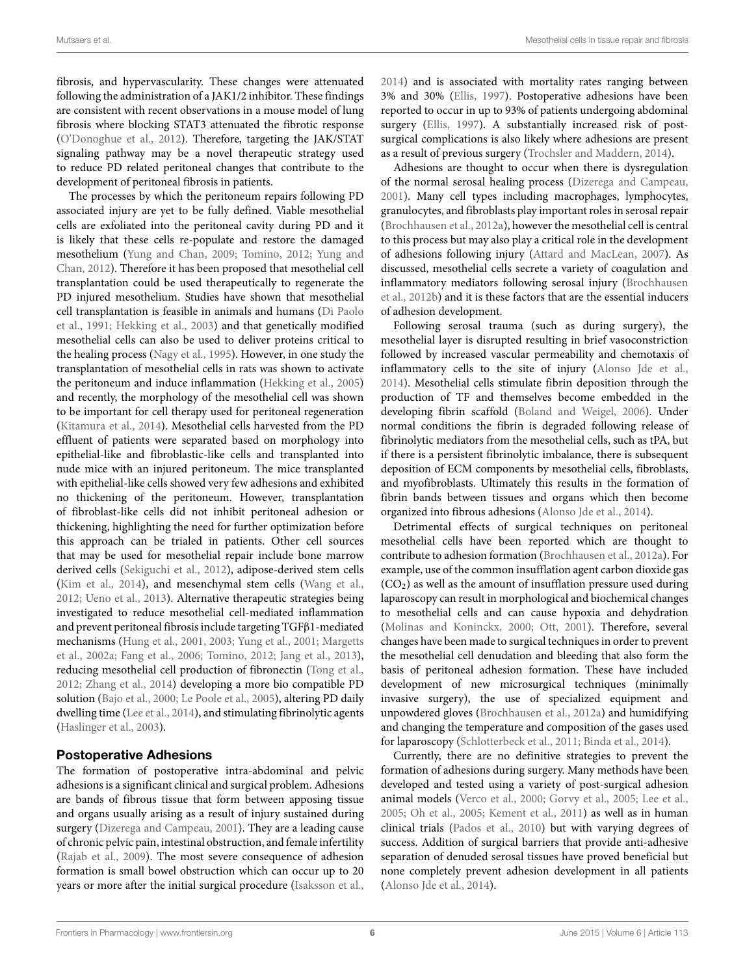fibrosis, and hypervascularity. These changes were attenuated following the administration of a JAK1/2 inhibitor. These findings are consistent with recent observations in a mouse model of lung fibrosis where blocking STAT3 attenuated the fibrotic response [\(O'Donoghue et al.,](#page-9-29) [2012\)](#page-9-29). Therefore, targeting the JAK/STAT signaling pathway may be a novel therapeutic strategy used to reduce PD related peritoneal changes that contribute to the development of peritoneal fibrosis in patients.

The processes by which the peritoneum repairs following PD associated injury are yet to be fully defined. Viable mesothelial cells are exfoliated into the peritoneal cavity during PD and it is likely that these cells re-populate and restore the damaged mesothelium([Yung and Chan,](#page-11-5) [2009;](#page-11-5) [Tomino](#page-10-28), [2012](#page-10-28); [Yung and](#page-11-2) [Chan,](#page-11-2) [2012](#page-11-2)). Therefore it has been proposed that mesothelial cell transplantation could be used therapeutically to regenerate the PD injured mesothelium. Studies have shown that mesothelial cell transplantation is feasible in animals and humans [\(Di Paolo](#page-7-29) [et al.,](#page-7-29) [1991](#page-7-29); [Hekking et al.](#page-8-24), [2003\)](#page-8-24) and that genetically modified mesothelial cells can also be used to deliver proteins critical to the healing process([Nagy et al.](#page-9-30), [1995\)](#page-9-30). However, in one study the transplantation of mesothelial cells in rats was shown to activate the peritoneum and induce inflammation([Hekking et al.](#page-8-25), [2005\)](#page-8-25) and recently, the morphology of the mesothelial cell was shown to be important for cell therapy used for peritoneal regeneration [\(Kitamura et al.,](#page-8-26) [2014\)](#page-8-26). Mesothelial cells harvested from the PD effluent of patients were separated based on morphology into epithelial-like and fibroblastic-like cells and transplanted into nude mice with an injured peritoneum. The mice transplanted with epithelial-like cells showed very few adhesions and exhibited no thickening of the peritoneum. However, transplantation of fibroblast-like cells did not inhibit peritoneal adhesion or thickening, highlighting the need for further optimization before this approach can be trialed in patients. Other cell sources that may be used for mesothelial repair include bone marrow derived cells [\(Sekiguchi et al.,](#page-10-30) [2012](#page-10-30)), adipose-derived stem cells [\(Kim et al.,](#page-8-27) [2014](#page-8-27)), and mesenchymal stem cells([Wang et al.,](#page-11-31) [2012](#page-11-31); [Ueno et al.,](#page-11-32) [2013](#page-11-32)). Alternative therapeutic strategies being investigated to reduce mesothelial cell-mediated inflammation and prevent peritoneal fibrosis include targeting TGFβ1-mediated mechanisms([Hung et al.,](#page-8-28) [2001,](#page-8-28) [2003](#page-8-29); [Yung et al.](#page-11-33), [2001;](#page-11-33) [Margetts](#page-9-31) [et al.,](#page-9-31) [2002a](#page-9-31); [Fang et al.,](#page-7-30) [2006](#page-7-30); [Tomino](#page-10-28), [2012;](#page-10-28) [Jang et al.,](#page-8-30) [2013](#page-8-30)), reducing mesothelial cell production of fibronectin([Tong et al.,](#page-10-16) [2012](#page-10-16); [Zhang et al.](#page-11-34), [2014\)](#page-11-34) developing a more bio compatible PD solution [\(Bajo et al.](#page-7-31), [2000;](#page-7-31) [Le Poole et al.](#page-9-32), [2005](#page-9-32)), altering PD daily dwelling time [\(Lee et al.](#page-9-33), [2014](#page-9-33)), and stimulating fibrinolytic agents [\(Haslinger et al.,](#page-8-31) [2003](#page-8-31)).

## **Postoperative Adhesions**

The formation of postoperative intra-abdominal and pelvic adhesions is a significant clinical and surgical problem. Adhesions are bands of fibrous tissue that form between apposing tissue and organs usually arising as a result of injury sustained during surgery [\(Dizerega and Campeau,](#page-7-32) [2001](#page-7-32)). They are a leading cause of chronic pelvic pain, intestinal obstruction, and female infertility [\(Rajab et al.,](#page-10-31) [2009\)](#page-10-31). The most severe consequence of adhesion formation is small bowel obstruction which can occur up to 20 years or more after the initial surgical procedure([Isaksson et al.,](#page-8-32)

[2014\)](#page-8-32) and is associated with mortality rates ranging between 3% and 30%([Ellis,](#page-7-33) [1997\)](#page-7-33). Postoperative adhesions have been reported to occur in up to 93% of patients undergoing abdominal surgery [\(Ellis](#page-7-33), [1997\)](#page-7-33). A substantially increased risk of postsurgical complications is also likely where adhesions are present as a result of previous surgery([Trochsler and Maddern](#page-11-35), [2014\)](#page-11-35).

Adhesions are thought to occur when there is dysregulation of the normal serosal healing process [\(Dizerega and Campeau](#page-7-32), [2001\)](#page-7-32). Many cell types including macrophages, lymphocytes, granulocytes, and fibroblasts play important roles in serosal repair ([Brochhausen et al.](#page-7-34), [2012a](#page-7-34)), however the mesothelial cell is central to this process but may also play a critical role in the development of adhesions following injury [\(Attard and MacLean](#page-7-35), [2007](#page-7-35)). As discussed, mesothelial cells secrete a variety of coagulation and inflammatory mediators following serosal injury([Brochhausen](#page-7-36) [et al.](#page-7-36), [2012b\)](#page-7-36) and it is these factors that are the essential inducers of adhesion development.

Following serosal trauma (such as during surgery), the mesothelial layer is disrupted resulting in brief vasoconstriction followed by increased vascular permeability and chemotaxis of inflammatory cells to the site of injury [\(Alonso Jde et al.](#page-6-1), [2014\)](#page-6-1). Mesothelial cells stimulate fibrin deposition through the production of TF and themselves become embedded in the developing fibrin scaffold [\(Boland and Weigel,](#page-7-37) [2006\)](#page-7-37). Under normal conditions the fibrin is degraded following release of fibrinolytic mediators from the mesothelial cells, such as tPA, but if there is a persistent fibrinolytic imbalance, there is subsequent deposition of ECM components by mesothelial cells, fibroblasts, and myofibroblasts. Ultimately this results in the formation of fibrin bands between tissues and organs which then become organized into fibrous adhesions [\(Alonso Jde et al.](#page-6-1), [2014\)](#page-6-1).

Detrimental effects of surgical techniques on peritoneal mesothelial cells have been reported which are thought to contribute to adhesion formation [\(Brochhausen et al.](#page-7-34), [2012a\)](#page-7-34). For example, use of the common insufflation agent carbon dioxide gas  $(CO<sub>2</sub>)$  as well as the amount of insufflation pressure used during laparoscopy can result in morphological and biochemical changes to mesothelial cells and can cause hypoxia and dehydration ([Molinas and Koninckx](#page-9-34), [2000](#page-9-34); [Ott](#page-9-35), [2001\)](#page-9-35). Therefore, several changes have been made to surgical techniques in order to prevent the mesothelial cell denudation and bleeding that also form the basis of peritoneal adhesion formation. These have included development of new microsurgical techniques (minimally invasive surgery), the use of specialized equipment and unpowdered gloves([Brochhausen et al.,](#page-7-34) [2012a\)](#page-7-34) and humidifying and changing the temperature and composition of the gases used for laparoscopy [\(Schlotterbeck et al.,](#page-10-32) [2011](#page-10-32); [Binda et al.,](#page-7-38) [2014](#page-7-38)).

Currently, there are no definitive strategies to prevent the formation of adhesions during surgery. Many methods have been developed and tested using a variety of post-surgical adhesion animal models [\(Verco et al.,](#page-11-36) [2000;](#page-11-36) [Gorvy et al.,](#page-8-33) [2005](#page-8-33); [Lee et al.](#page-9-36), [2005;](#page-9-36) [Oh et al.,](#page-9-37) [2005](#page-9-37); [Kement et al.,](#page-8-34) [2011](#page-8-34)) as well as in human clinical trials [\(Pados et al.](#page-10-33), [2010\)](#page-10-33) but with varying degrees of success. Addition of surgical barriers that provide anti-adhesive separation of denuded serosal tissues have proved beneficial but none completely prevent adhesion development in all patients ([Alonso Jde et al.,](#page-6-1) [2014](#page-6-1)).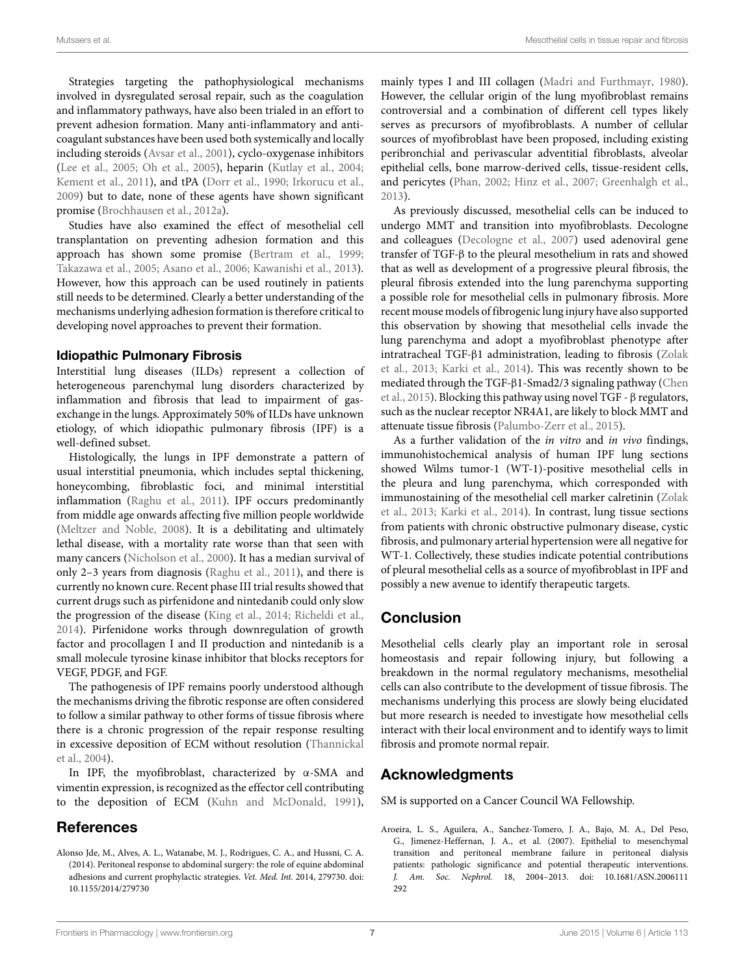Strategies targeting the pathophysiological mechanisms involved in dysregulated serosal repair, such as the coagulation and inflammatory pathways, have also been trialed in an effort to prevent adhesion formation. Many anti-inflammatory and anticoagulant substances have been used both systemically and locally including steroids [\(Avsar et al.,](#page-7-39) [2001](#page-7-39)), cyclo-oxygenase inhibitors [\(Lee et al.](#page-9-36), [2005](#page-9-36); [Oh et al.,](#page-9-37) [2005](#page-9-37)), heparin([Kutlay et al.,](#page-8-35) [2004;](#page-8-35) [Kement et al.](#page-8-34), [2011\)](#page-8-34), and tPA [\(Dorr et al.](#page-7-40), [1990;](#page-7-40) [Irkorucu et al.,](#page-8-36) [2009](#page-8-36)) but to date, none of these agents have shown significant promise [\(Brochhausen et al.,](#page-7-34) [2012a](#page-7-34)).

Studies have also examined the effect of mesothelial cell transplantation on preventing adhesion formation and this approach has shown some promise([Bertram et al.](#page-7-41), [1999;](#page-7-41) [Takazawa et al.](#page-10-34), [2005](#page-10-34); [Asano et al.,](#page-7-42) [2006;](#page-7-42) [Kawanishi et al.](#page-8-37), [2013](#page-8-37)). However, how this approach can be used routinely in patients still needs to be determined. Clearly a better understanding of the mechanisms underlying adhesion formation is therefore critical to developing novel approaches to prevent their formation.

#### **Idiopathic Pulmonary Fibrosis**

Interstitial lung diseases (ILDs) represent a collection of heterogeneous parenchymal lung disorders characterized by inflammation and fibrosis that lead to impairment of gasexchange in the lungs. Approximately 50% of ILDs have unknown etiology, of which idiopathic pulmonary fibrosis (IPF) is a well-defined subset.

Histologically, the lungs in IPF demonstrate a pattern of usual interstitial pneumonia, which includes septal thickening, honeycombing, fibroblastic foci, and minimal interstitial inflammation([Raghu et al.](#page-10-35), [2011\)](#page-10-35). IPF occurs predominantly from middle age onwards affecting five million people worldwide [\(Meltzer and Noble](#page-9-38), [2008\)](#page-9-38). It is a debilitating and ultimately lethal disease, with a mortality rate worse than that seen with many cancers [\(Nicholson et al.,](#page-9-39) [2000](#page-9-39)). It has a median survival of only 2–3 years from diagnosis([Raghu et al.,](#page-10-35) [2011\)](#page-10-35), and there is currently no known cure. Recent phase III trial results showed that current drugs such as pirfenidone and nintedanib could only slow the progression of the disease([King et al.,](#page-8-38) [2014](#page-8-38); [Richeldi et al.,](#page-10-36) [2014](#page-10-36)). Pirfenidone works through downregulation of growth factor and procollagen I and II production and nintedanib is a small molecule tyrosine kinase inhibitor that blocks receptors for VEGF, PDGF, and FGF.

The pathogenesis of IPF remains poorly understood although the mechanisms driving the fibrotic response are often considered to follow a similar pathway to other forms of tissue fibrosis where there is a chronic progression of the repair response resulting in excessive deposition of ECM without resolution([Thannickal](#page-10-37) [et al.,](#page-10-37) [2004](#page-10-37)).

In IPF, the myofibroblast, characterized by α-SMA and vimentin expression, is recognized as the effector cell contributing to the deposition of ECM [\(Kuhn and McDonald](#page-8-39), [1991](#page-8-39)),

# **References**

mainly types I and III collagen [\(Madri and Furthmayr,](#page-9-40) [1980\)](#page-9-40). However, the cellular origin of the lung myofibroblast remains controversial and a combination of different cell types likely serves as precursors of myofibroblasts. A number of cellular sources of myofibroblast have been proposed, including existing peribronchial and perivascular adventitial fibroblasts, alveolar epithelial cells, bone marrow-derived cells, tissue-resident cells, and pericytes([Phan](#page-10-38), [2002;](#page-10-38) [Hinz et al.](#page-8-40), [2007;](#page-8-40) [Greenhalgh et al.](#page-8-41), [2013\)](#page-8-41).

As previously discussed, mesothelial cells can be induced to undergo MMT and transition into myofibroblasts. Decologne and colleagues [\(Decologne et al.](#page-7-1), [2007\)](#page-7-1) used adenoviral gene transfer of TGF-β to the pleural mesothelium in rats and showed that as well as development of a progressive pleural fibrosis, the pleural fibrosis extended into the lung parenchyma supporting a possible role for mesothelial cells in pulmonary fibrosis. More recent mouse models of fibrogenic lung injury have also supported this observation by showing that mesothelial cells invade the lung parenchyma and adopt a myofibroblast phenotype after intratracheal TGF-β1 administration, leading to fibrosis [\(Zolak](#page-11-1) [et al.,](#page-11-1) [2013;](#page-11-1) [Karki et al.](#page-8-0), [2014\)](#page-8-0). This was recently shown to be mediated through the TGF-β1-Smad2/3 signaling pathway([Chen](#page-7-2) [et al.,](#page-7-2) [2015\)](#page-7-2). Blocking this pathway using novel TGF -  $\beta$  regulators, such as the nuclear receptor NR4A1, are likely to block MMT and attenuate tissue fibrosis([Palumbo-Zerr et al.](#page-10-39), [2015](#page-10-39)).

As a further validation of the *in vitro* and *in vivo* findings, immunohistochemical analysis of human IPF lung sections showed Wilms tumor-1 (WT-1)-positive mesothelial cells in the pleura and lung parenchyma, which corresponded with immunostaining of the mesothelial cell marker calretinin [\(Zolak](#page-11-1) [et al.](#page-11-1), [2013;](#page-11-1) [Karki et al.](#page-8-0), [2014\)](#page-8-0). In contrast, lung tissue sections from patients with chronic obstructive pulmonary disease, cystic fibrosis, and pulmonary arterial hypertension were all negative for WT-1. Collectively, these studies indicate potential contributions of pleural mesothelial cells as a source of myofibroblast in IPF and possibly a new avenue to identify therapeutic targets.

# **Conclusion**

Mesothelial cells clearly play an important role in serosal homeostasis and repair following injury, but following a breakdown in the normal regulatory mechanisms, mesothelial cells can also contribute to the development of tissue fibrosis. The mechanisms underlying this process are slowly being elucidated but more research is needed to investigate how mesothelial cells interact with their local environment and to identify ways to limit fibrosis and promote normal repair.

# **Acknowledgments**

SM is supported on a Cancer Council WA Fellowship.

<span id="page-6-0"></span>Aroeira, L. S., Aguilera, A., Sanchez-Tomero, J. A., Bajo, M. A., Del Peso, G., Jimenez-Heffernan, J. A., et al. (2007). Epithelial to mesenchymal transition and peritoneal membrane failure in peritoneal dialysis patients: pathologic significance and potential therapeutic interventions. *J. Am. Soc. Nephrol.* 18, 2004–2013. doi: 10.1681/ASN.2006111 292

<span id="page-6-1"></span>Alonso Jde, M., Alves, A. L., Watanabe, M. J., Rodrigues, C. A., and Hussni, C. A. (2014). Peritoneal response to abdominal surgery: the role of equine abdominal adhesions and current prophylactic strategies. *Vet. Med. Int.* 2014, 279730. doi: 10.1155/2014/279730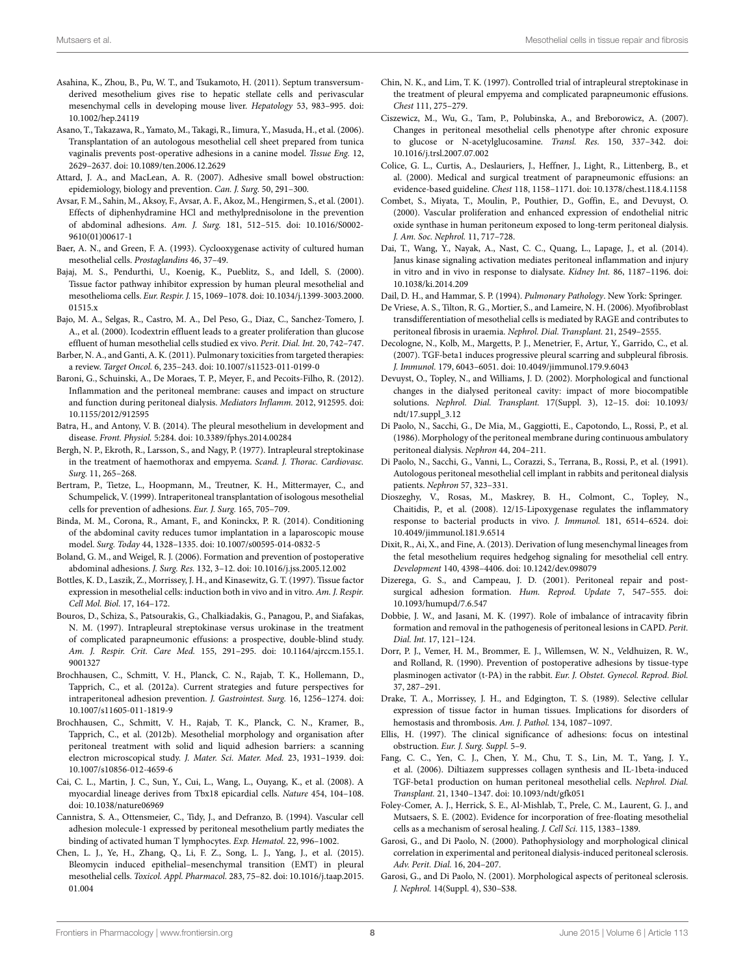- <span id="page-7-9"></span>Asahina, K., Zhou, B., Pu, W. T., and Tsukamoto, H. (2011). Septum transversumderived mesothelium gives rise to hepatic stellate cells and perivascular mesenchymal cells in developing mouse liver. *Hepatology* 53, 983–995. doi: 10.1002/hep.24119
- <span id="page-7-42"></span>Asano, T., Takazawa, R., Yamato, M., Takagi, R., Iimura, Y., Masuda, H., et al. (2006). Transplantation of an autologous mesothelial cell sheet prepared from tunica vaginalis prevents post-operative adhesions in a canine model. *Tissue Eng.* 12, 2629–2637. doi: 10.1089/ten.2006.12.2629
- <span id="page-7-35"></span>Attard, J. A., and MacLean, A. R. (2007). Adhesive small bowel obstruction: epidemiology, biology and prevention. *Can. J. Surg.* 50, 291–300.
- <span id="page-7-39"></span>Avsar, F. M., Sahin, M., Aksoy, F., Avsar, A. F., Akoz, M., Hengirmen, S., et al. (2001). Effects of diphenhydramine HCl and methylprednisolone in the prevention of abdominal adhesions. *Am. J. Surg.* 181, 512–515. doi: 10.1016/S0002- 9610(01)00617-1
- <span id="page-7-7"></span>Baer, A. N., and Green, F. A. (1993). Cyclooxygenase activity of cultured human mesothelial cells. *Prostaglandins* 46, 37–49.
- <span id="page-7-5"></span>Bajaj, M. S., Pendurthi, U., Koenig, K., Pueblitz, S., and Idell, S. (2000). Tissue factor pathway inhibitor expression by human pleural mesothelial and mesothelioma cells. *Eur. Respir. J.* 15, 1069–1078. doi: 10.1034/j.1399-3003.2000. 01515.x
- <span id="page-7-31"></span>Bajo, M. A., Selgas, R., Castro, M. A., Del Peso, G., Diaz, C., Sanchez-Tomero, J. A., et al. (2000). Icodextrin effluent leads to a greater proliferation than glucose effluent of human mesothelial cells studied ex vivo. *Perit. Dial. Int.* 20, 742–747.
- <span id="page-7-12"></span>Barber, N. A., and Ganti, A. K. (2011). Pulmonary toxicities from targeted therapies: a review. *Target Oncol.* 6, 235–243. doi: 10.1007/s11523-011-0199-0
- <span id="page-7-25"></span>Baroni, G., Schuinski, A., De Moraes, T. P., Meyer, F., and Pecoits-Filho, R. (2012). Inflammation and the peritoneal membrane: causes and impact on structure and function during peritoneal dialysis. *Mediators Inflamm.* 2012, 912595. doi: 10.1155/2012/912595
- <span id="page-7-0"></span>Batra, H., and Antony, V. B. (2014). The pleural mesothelium in development and disease. *Front. Physiol.* 5:284. doi: 10.3389/fphys.2014.00284
- <span id="page-7-13"></span>Bergh, N. P., Ekroth, R., Larsson, S., and Nagy, P. (1977). Intrapleural streptokinase in the treatment of haemothorax and empyema. *Scand. J. Thorac. Cardiovasc. Surg.* 11, 265–268.
- <span id="page-7-41"></span>Bertram, P., Tietze, L., Hoopmann, M., Treutner, K. H., Mittermayer, C., and Schumpelick, V. (1999). Intraperitoneal transplantation of isologous mesothelial cells for prevention of adhesions. *Eur. J. Surg.* 165, 705–709.
- <span id="page-7-38"></span>Binda, M. M., Corona, R., Amant, F., and Koninckx, P. R. (2014). Conditioning of the abdominal cavity reduces tumor implantation in a laparoscopic mouse model. *Surg. Today* 44, 1328–1335. doi: 10.1007/s00595-014-0832-5
- <span id="page-7-37"></span>Boland, G. M., and Weigel, R. J. (2006). Formation and prevention of postoperative abdominal adhesions. *J. Surg. Res.* 132, 3–12. doi: 10.1016/j.jss.2005.12.002
- <span id="page-7-4"></span>Bottles, K. D., Laszik, Z., Morrissey, J. H., and Kinasewitz, G. T. (1997). Tissue factor expression in mesothelial cells: induction both in vivo and in vitro. *Am. J. Respir. Cell Mol. Biol.* 17, 164–172.
- <span id="page-7-14"></span>Bouros, D., Schiza, S., Patsourakis, G., Chalkiadakis, G., Panagou, P., and Siafakas, N. M. (1997). Intrapleural streptokinase versus urokinase in the treatment of complicated parapneumonic effusions: a prospective, double-blind study. *Am. J. Respir. Crit. Care Med.* 155, 291–295. doi: 10.1164/ajrccm.155.1. 9001327
- <span id="page-7-34"></span>Brochhausen, C., Schmitt, V. H., Planck, C. N., Rajab, T. K., Hollemann, D., Tapprich, C., et al. (2012a). Current strategies and future perspectives for intraperitoneal adhesion prevention. *J. Gastrointest. Surg.* 16, 1256–1274. doi: 10.1007/s11605-011-1819-9
- <span id="page-7-36"></span>Brochhausen, C., Schmitt, V. H., Rajab, T. K., Planck, C. N., Kramer, B., Tapprich, C., et al. (2012b). Mesothelial morphology and organisation after peritoneal treatment with solid and liquid adhesion barriers: a scanning electron microscopical study. *J. Mater. Sci. Mater. Med.* 23, 1931–1939. doi: 10.1007/s10856-012-4659-6
- <span id="page-7-8"></span>Cai, C. L., Martin, J. C., Sun, Y., Cui, L., Wang, L., Ouyang, K., et al. (2008). A myocardial lineage derives from Tbx18 epicardial cells. *Nature* 454, 104–108. doi: 10.1038/nature06969
- <span id="page-7-6"></span>Cannistra, S. A., Ottensmeier, C., Tidy, J., and Defranzo, B. (1994). Vascular cell adhesion molecule-1 expressed by peritoneal mesothelium partly mediates the binding of activated human T lymphocytes. *Exp. Hematol.* 22, 996–1002.
- <span id="page-7-2"></span>Chen, L. J., Ye, H., Zhang, Q., Li, F. Z., Song, L. J., Yang, J., et al. (2015). Bleomycin induced epithelial–mesenchymal transition (EMT) in pleural mesothelial cells. *Toxicol. Appl. Pharmacol.* 283, 75–82. doi: 10.1016/j.taap.2015. 01.004
- <span id="page-7-15"></span>Chin, N. K., and Lim, T. K. (1997). Controlled trial of intrapleural streptokinase in the treatment of pleural empyema and complicated parapneumonic effusions. *Chest* 111, 275–279.
- <span id="page-7-24"></span>Ciszewicz, M., Wu, G., Tam, P., Polubinska, A., and Breborowicz, A. (2007). Changes in peritoneal mesothelial cells phenotype after chronic exposure to glucose or N-acetylglucosamine. *Transl. Res.* 150, 337–342. doi: 10.1016/j.trsl.2007.07.002
- <span id="page-7-16"></span>Colice, G. L., Curtis, A., Deslauriers, J., Heffner, J., Light, R., Littenberg, B., et al. (2000). Medical and surgical treatment of parapneumonic effusions: an evidence-based guideline. *Chest* 118, 1158–1171. doi: 10.1378/chest.118.4.1158
- <span id="page-7-26"></span>Combet, S., Miyata, T., Moulin, P., Pouthier, D., Goffin, E., and Devuyst, O. (2000). Vascular proliferation and enhanced expression of endothelial nitric oxide synthase in human peritoneum exposed to long-term peritoneal dialysis. *J. Am. Soc. Nephrol.* 11, 717–728.
- <span id="page-7-28"></span>Dai, T., Wang, Y., Nayak, A., Nast, C. C., Quang, L., Lapage, J., et al. (2014). Janus kinase signaling activation mediates peritoneal inflammation and injury in vitro and in vivo in response to dialysate. *Kidney Int.* 86, 1187–1196. doi: 10.1038/ki.2014.209

<span id="page-7-18"></span>Dail, D. H., and Hammar, S. P. (1994). *Pulmonary Pathology*. New York: Springer.

- <span id="page-7-27"></span>De Vriese, A. S., Tilton, R. G., Mortier, S., and Lameire, N. H. (2006). Myofibroblast transdifferentiation of mesothelial cells is mediated by RAGE and contributes to peritoneal fibrosis in uraemia. *Nephrol. Dial. Transplant.* 21, 2549–2555.
- <span id="page-7-1"></span>Decologne, N., Kolb, M., Margetts, P. J., Menetrier, F., Artur, Y., Garrido, C., et al. (2007). TGF-beta1 induces progressive pleural scarring and subpleural fibrosis. *J. Immunol.* 179, 6043–6051. doi: 10.4049/jimmunol.179.9.6043
- <span id="page-7-21"></span>Devuyst, O., Topley, N., and Williams, J. D. (2002). Morphological and functional changes in the dialysed peritoneal cavity: impact of more biocompatible solutions. *Nephrol. Dial. Transplant.* 17(Suppl. 3), 12–15. doi: 10.1093/ ndt/17.suppl\_3.12
- <span id="page-7-22"></span>Di Paolo, N., Sacchi, G., De Mia, M., Gaggiotti, E., Capotondo, L., Rossi, P., et al. (1986). Morphology of the peritoneal membrane during continuous ambulatory peritoneal dialysis. *Nephron* 44, 204–211.
- <span id="page-7-29"></span>Di Paolo, N., Sacchi, G., Vanni, L., Corazzi, S., Terrana, B., Rossi, P., et al. (1991). Autologous peritoneal mesothelial cell implant in rabbits and peritoneal dialysis patients. *Nephron* 57, 323–331.
- <span id="page-7-23"></span>Dioszeghy, V., Rosas, M., Maskrey, B. H., Colmont, C., Topley, N., Chaitidis, P., et al. (2008). 12/15-Lipoxygenase regulates the inflammatory response to bacterial products in vivo. *J. Immunol.* 181, 6514–6524. doi: 10.4049/jimmunol.181.9.6514
- <span id="page-7-10"></span>Dixit, R., Ai, X., and Fine, A. (2013). Derivation of lung mesenchymal lineages from the fetal mesothelium requires hedgehog signaling for mesothelial cell entry. *Development* 140, 4398–4406. doi: 10.1242/dev.098079
- <span id="page-7-32"></span>Dizerega, G. S., and Campeau, J. D. (2001). Peritoneal repair and postsurgical adhesion formation. *Hum. Reprod. Update* 7, 547–555. doi: 10.1093/humupd/7.6.547
- <span id="page-7-3"></span>Dobbie, J. W., and Jasani, M. K. (1997). Role of imbalance of intracavity fibrin formation and removal in the pathogenesis of peritoneal lesions in CAPD. *Perit. Dial. Int.* 17, 121–124.
- <span id="page-7-40"></span>Dorr, P. J., Vemer, H. M., Brommer, E. J., Willemsen, W. N., Veldhuizen, R. W., and Rolland, R. (1990). Prevention of postoperative adhesions by tissue-type plasminogen activator (t-PA) in the rabbit. *Eur. J. Obstet. Gynecol. Reprod. Biol.* 37, 287–291.
- <span id="page-7-17"></span>Drake, T. A., Morrissey, J. H., and Edgington, T. S. (1989). Selective cellular expression of tissue factor in human tissues. Implications for disorders of hemostasis and thrombosis. *Am. J. Pathol.* 134, 1087–1097.
- <span id="page-7-33"></span>Ellis, H. (1997). The clinical significance of adhesions: focus on intestinal obstruction. *Eur. J. Surg. Suppl.* 5–9.
- <span id="page-7-30"></span>Fang, C. C., Yen, C. J., Chen, Y. M., Chu, T. S., Lin, M. T., Yang, J. Y., et al. (2006). Diltiazem suppresses collagen synthesis and IL-1beta-induced TGF-beta1 production on human peritoneal mesothelial cells. *Nephrol. Dial. Transplant.* 21, 1340–1347. doi: 10.1093/ndt/gfk051
- <span id="page-7-11"></span>Foley-Comer, A. J., Herrick, S. E., Al-Mishlab, T., Prele, C. M., Laurent, G. J., and Mutsaers, S. E. (2002). Evidence for incorporation of free-floating mesothelial cells as a mechanism of serosal healing. *J. Cell Sci.* 115, 1383–1389.
- <span id="page-7-19"></span>Garosi, G., and Di Paolo, N. (2000). Pathophysiology and morphological clinical correlation in experimental and peritoneal dialysis-induced peritoneal sclerosis. *Adv. Perit. Dial.* 16, 204–207.
- <span id="page-7-20"></span>Garosi, G., and Di Paolo, N. (2001). Morphological aspects of peritoneal sclerosis. *J. Nephrol.* 14(Suppl. 4), S30–S38.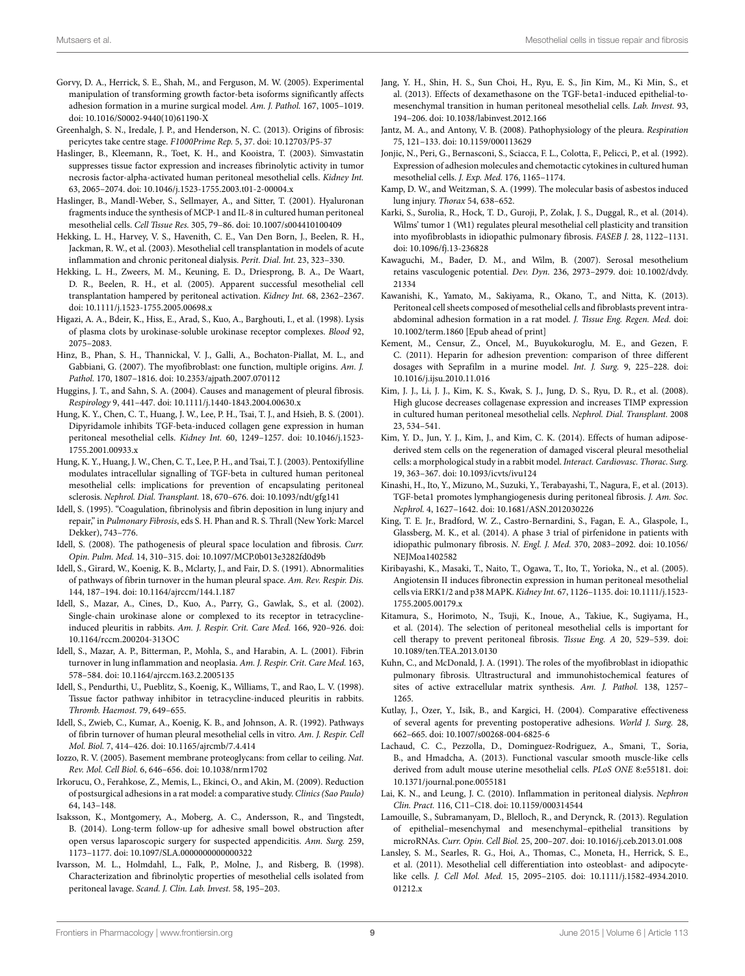- <span id="page-8-33"></span>Gorvy, D. A., Herrick, S. E., Shah, M., and Ferguson, M. W. (2005). Experimental manipulation of transforming growth factor-beta isoforms significantly affects adhesion formation in a murine surgical model. *Am. J. Pathol.* 167, 1005–1019. doi: 10.1016/S0002-9440(10)61190-X
- <span id="page-8-41"></span>Greenhalgh, S. N., Iredale, J. P., and Henderson, N. C. (2013). Origins of fibrosis: pericytes take centre stage. *F1000Prime Rep.* 5, 37. doi: 10.12703/P5-37
- <span id="page-8-31"></span>Haslinger, B., Kleemann, R., Toet, K. H., and Kooistra, T. (2003). Simvastatin suppresses tissue factor expression and increases fibrinolytic activity in tumor necrosis factor-alpha-activated human peritoneal mesothelial cells. *Kidney Int.* 63, 2065–2074. doi: 10.1046/j.1523-1755.2003.t01-2-00004.x
- <span id="page-8-7"></span>Haslinger, B., Mandl-Weber, S., Sellmayer, A., and Sitter, T. (2001). Hyaluronan fragments induce the synthesis of MCP-1 and IL-8 in cultured human peritoneal mesothelial cells. *Cell Tissue Res.* 305, 79–86. doi: 10.1007/s004410100409
- <span id="page-8-24"></span>Hekking, L. H., Harvey, V. S., Havenith, C. E., Van Den Born, J., Beelen, R. H., Jackman, R. W., et al. (2003). Mesothelial cell transplantation in models of acute inflammation and chronic peritoneal dialysis. *Perit. Dial. Int.* 23, 323–330.
- <span id="page-8-25"></span>Hekking, L. H., Zweers, M. M., Keuning, E. D., Driesprong, B. A., De Waart, D. R., Beelen, R. H., et al. (2005). Apparent successful mesothelial cell transplantation hampered by peritoneal activation. *Kidney Int.* 68, 2362–2367. doi: 10.1111/j.1523-1755.2005.00698.x
- <span id="page-8-4"></span>Higazi, A. A., Bdeir, K., Hiss, E., Arad, S., Kuo, A., Barghouti, I., et al. (1998). Lysis of plasma clots by urokinase-soluble urokinase receptor complexes. *Blood* 92, 2075–2083.
- <span id="page-8-40"></span>Hinz, B., Phan, S. H., Thannickal, V. J., Galli, A., Bochaton-Piallat, M. L., and Gabbiani, G. (2007). The myofibroblast: one function, multiple origins. *Am. J. Pathol.* 170, 1807–1816. doi: 10.2353/ajpath.2007.070112
- <span id="page-8-14"></span>Huggins, J. T., and Sahn, S. A. (2004). Causes and management of pleural fibrosis. *Respirology* 9, 441–447. doi: 10.1111/j.1440-1843.2004.00630.x
- <span id="page-8-28"></span>Hung, K. Y., Chen, C. T., Huang, J. W., Lee, P. H., Tsai, T. J., and Hsieh, B. S. (2001). Dipyridamole inhibits TGF-beta-induced collagen gene expression in human peritoneal mesothelial cells. *Kidney Int.* 60, 1249–1257. doi: 10.1046/j.1523- 1755.2001.00933.x
- <span id="page-8-29"></span>Hung, K. Y., Huang, J. W., Chen, C. T., Lee, P. H., and Tsai, T. J. (2003). Pentoxifylline modulates intracellular signalling of TGF-beta in cultured human peritoneal mesothelial cells: implications for prevention of encapsulating peritoneal sclerosis. *Nephrol. Dial. Transplant.* 18, 670–676. doi: 10.1093/ndt/gfg141
- <span id="page-8-17"></span>Idell, S. (1995). "Coagulation, fibrinolysis and fibrin deposition in lung injury and repair," in *Pulmonary Fibrosis*, eds S. H. Phan and R. S. Thrall (New York: Marcel Dekker), 743–776.
- <span id="page-8-13"></span>Idell, S. (2008). The pathogenesis of pleural space loculation and fibrosis. *Curr. Opin. Pulm. Med.* 14, 310–315. doi: 10.1097/MCP.0b013e3282fd0d9b
- <span id="page-8-3"></span>Idell, S., Girard, W., Koenig, K. B., Mclarty, J., and Fair, D. S. (1991). Abnormalities of pathways of fibrin turnover in the human pleural space. *Am. Rev. Respir. Dis.* 144, 187–194. doi: 10.1164/ajrccm/144.1.187
- <span id="page-8-16"></span>Idell, S., Mazar, A., Cines, D., Kuo, A., Parry, G., Gawlak, S., et al. (2002). Single-chain urokinase alone or complexed to its receptor in tetracyclineinduced pleuritis in rabbits. *Am. J. Respir. Crit. Care Med.* 166, 920–926. doi: 10.1164/rccm.200204-313OC
- <span id="page-8-18"></span>Idell, S., Mazar, A. P., Bitterman, P., Mohla, S., and Harabin, A. L. (2001). Fibrin turnover in lung inflammation and neoplasia. *Am. J. Respir. Crit. Care Med.* 163, 578–584. doi: 10.1164/ajrccm.163.2.2005135
- <span id="page-8-15"></span>Idell, S., Pendurthi, U., Pueblitz, S., Koenig, K., Williams, T., and Rao, L. V. (1998). Tissue factor pathway inhibitor in tetracycline-induced pleuritis in rabbits. *Thromb. Haemost.* 79, 649–655.
- <span id="page-8-1"></span>Idell, S., Zwieb, C., Kumar, A., Koenig, K. B., and Johnson, A. R. (1992). Pathways of fibrin turnover of human pleural mesothelial cells in vitro. *Am. J. Respir. Cell Mol. Biol.* 7, 414–426. doi: 10.1165/ajrcmb/7.4.414
- <span id="page-8-21"></span>Iozzo, R. V. (2005). Basement membrane proteoglycans: from cellar to ceiling. *Nat. Rev. Mol. Cell Biol.* 6, 646–656. doi: 10.1038/nrm1702
- <span id="page-8-36"></span>Irkorucu, O., Ferahkose, Z., Memis, L., Ekinci, O., and Akin, M. (2009). Reduction of postsurgical adhesions in a rat model: a comparative study. *Clinics (Sao Paulo)* 64, 143–148.
- <span id="page-8-32"></span>Isaksson, K., Montgomery, A., Moberg, A. C., Andersson, R., and Tingstedt, B. (2014). Long-term follow-up for adhesive small bowel obstruction after open versus laparoscopic surgery for suspected appendicitis. *Ann. Surg.* 259, 1173–1177. doi: 10.1097/SLA.0000000000000322
- <span id="page-8-2"></span>Ivarsson, M. L., Holmdahl, L., Falk, P., Molne, J., and Risberg, B. (1998). Characterization and fibrinolytic properties of mesothelial cells isolated from peritoneal lavage. *Scand. J. Clin. Lab. Invest.* 58, 195–203.
- <span id="page-8-30"></span>Jang, Y. H., Shin, H. S., Sun Choi, H., Ryu, E. S., Jin Kim, M., Ki Min, S., et al. (2013). Effects of dexamethasone on the TGF-beta1-induced epithelial-tomesenchymal transition in human peritoneal mesothelial cells. *Lab. Invest.* 93, 194–206. doi: 10.1038/labinvest.2012.166
- <span id="page-8-5"></span>Jantz, M. A., and Antony, V. B. (2008). Pathophysiology of the pleura. *Respiration* 75, 121–133. doi: 10.1159/000113629
- <span id="page-8-6"></span>Jonjic, N., Peri, G., Bernasconi, S., Sciacca, F. L., Colotta, F., Pelicci, P., et al. (1992). Expression of adhesion molecules and chemotactic cytokines in cultured human mesothelial cells. *J. Exp. Med.* 176, 1165–1174.
- <span id="page-8-19"></span>Kamp, D. W., and Weitzman, S. A. (1999). The molecular basis of asbestos induced lung injury. *Thorax* 54, 638–652.
- <span id="page-8-0"></span>Karki, S., Surolia, R., Hock, T. D., Guroji, P., Zolak, J. S., Duggal, R., et al. (2014). Wilms' tumor 1 (Wt1) regulates pleural mesothelial cell plasticity and transition into myofibroblasts in idiopathic pulmonary fibrosis. *FASEB J.* 28, 1122–1131. doi: 10.1096/fj.13-236828
- <span id="page-8-10"></span>Kawaguchi, M., Bader, D. M., and Wilm, B. (2007). Serosal mesothelium retains vasculogenic potential. *Dev. Dyn.* 236, 2973–2979. doi: 10.1002/dvdy. 21334
- <span id="page-8-37"></span>Kawanishi, K., Yamato, M., Sakiyama, R., Okano, T., and Nitta, K. (2013). Peritoneal cell sheets composed of mesothelial cells and fibroblasts prevent intraabdominal adhesion formation in a rat model. *J. Tissue Eng. Regen. Med.* doi: 10.1002/term.1860 [Epub ahead of print]
- <span id="page-8-34"></span>Kement, M., Censur, Z., Oncel, M., Buyukokuroglu, M. E., and Gezen, F. C. (2011). Heparin for adhesion prevention: comparison of three different dosages with Seprafilm in a murine model. *Int. J. Surg.* 9, 225–228. doi: 10.1016/j.ijsu.2010.11.016
- <span id="page-8-23"></span>Kim, J. J., Li, J. J., Kim, K. S., Kwak, S. J., Jung, D. S., Ryu, D. R., et al. (2008). High glucose decreases collagenase expression and increases TIMP expression in cultured human peritoneal mesothelial cells. *Nephrol. Dial. Transplant.* 2008 23, 534–541.
- <span id="page-8-27"></span>Kim, Y. D., Jun, Y. J., Kim, J., and Kim, C. K. (2014). Effects of human adiposederived stem cells on the regeneration of damaged visceral pleural mesothelial cells: a morphological study in a rabbit model. *Interact. Cardiovasc. Thorac. Surg.* 19, 363–367. doi: 10.1093/icvts/ivu124
- <span id="page-8-22"></span>Kinashi, H., Ito, Y., Mizuno, M., Suzuki, Y., Terabayashi, T., Nagura, F., et al. (2013). TGF-beta1 promotes lymphangiogenesis during peritoneal fibrosis. *J. Am. Soc. Nephrol.* 4, 1627–1642. doi: 10.1681/ASN.2012030226
- <span id="page-8-38"></span>King, T. E. Jr., Bradford, W. Z., Castro-Bernardini, S., Fagan, E. A., Glaspole, I., Glassberg, M. K., et al. (2014). A phase 3 trial of pirfenidone in patients with idiopathic pulmonary fibrosis. *N. Engl. J. Med.* 370, 2083–2092. doi: 10.1056/ NEJMoa1402582
- <span id="page-8-8"></span>Kiribayashi, K., Masaki, T., Naito, T., Ogawa, T., Ito, T., Yorioka, N., et al. (2005). Angiotensin II induces fibronectin expression in human peritoneal mesothelial cells via ERK1/2 and p38 MAPK. *Kidney Int.* 67, 1126–1135. doi: 10.1111/j.1523- 1755.2005.00179.x
- <span id="page-8-26"></span>Kitamura, S., Horimoto, N., Tsuji, K., Inoue, A., Takiue, K., Sugiyama, H., et al. (2014). The selection of peritoneal mesothelial cells is important for cell therapy to prevent peritoneal fibrosis. *Tissue Eng. A* 20, 529–539. doi: 10.1089/ten.TEA.2013.0130
- <span id="page-8-39"></span>Kuhn, C., and McDonald, J. A. (1991). The roles of the myofibroblast in idiopathic pulmonary fibrosis. Ultrastructural and immunohistochemical features of sites of active extracellular matrix synthesis. *Am. J. Pathol.* 138, 1257– 1265.
- <span id="page-8-35"></span>Kutlay, J., Ozer, Y., Isik, B., and Kargici, H. (2004). Comparative effectiveness of several agents for preventing postoperative adhesions. *World J. Surg.* 28, 662–665. doi: 10.1007/s00268-004-6825-6
- <span id="page-8-11"></span>Lachaud, C. C., Pezzolla, D., Dominguez-Rodriguez, A., Smani, T., Soria, B., and Hmadcha, A. (2013). Functional vascular smooth muscle-like cells derived from adult mouse uterine mesothelial cells. *PLoS ONE* 8:e55181. doi: 10.1371/journal.pone.0055181
- <span id="page-8-20"></span>Lai, K. N., and Leung, J. C. (2010). Inflammation in peritoneal dialysis. *Nephron Clin. Pract.* 116, C11–C18. doi: 10.1159/000314544
- <span id="page-8-9"></span>Lamouille, S., Subramanyam, D., Blelloch, R., and Derynck, R. (2013). Regulation of epithelial–mesenchymal and mesenchymal–epithelial transitions by microRNAs. *Curr. Opin. Cell Biol.* 25, 200–207. doi: 10.1016/j.ceb.2013.01.008
- <span id="page-8-12"></span>Lansley, S. M., Searles, R. G., Hoi, A., Thomas, C., Moneta, H., Herrick, S. E., et al. (2011). Mesothelial cell differentiation into osteoblast- and adipocytelike cells. *J. Cell Mol. Med.* 15, 2095–2105. doi: 10.1111/j.1582-4934.2010. 01212.x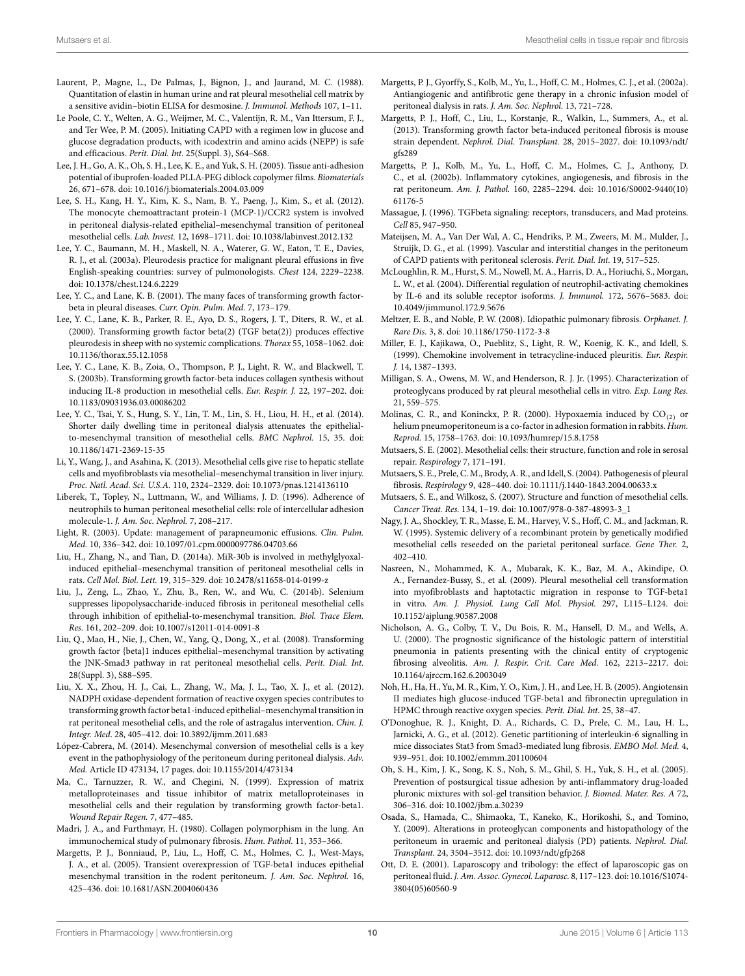- <span id="page-9-4"></span>Laurent, P., Magne, L., De Palmas, J., Bignon, J., and Jaurand, M. C. (1988). Quantitation of elastin in human urine and rat pleural mesothelial cell matrix by a sensitive avidin–biotin ELISA for desmosine. *J. Immunol. Methods* 107, 1–11.
- <span id="page-9-32"></span>Le Poole, C. Y., Welten, A. G., Weijmer, M. C., Valentijn, R. M., Van Ittersum, F. J., and Ter Wee, P. M. (2005). Initiating CAPD with a regimen low in glucose and glucose degradation products, with icodextrin and amino acids (NEPP) is safe and efficacious. *Perit. Dial. Int.* 25(Suppl. 3), S64–S68.
- <span id="page-9-36"></span>Lee, J. H., Go, A. K., Oh, S. H., Lee, K. E., and Yuk, S. H. (2005). Tissue anti-adhesion potential of ibuprofen-loaded PLLA-PEG diblock copolymer films. *Biomaterials* 26, 671–678. doi: 10.1016/j.biomaterials.2004.03.009
- <span id="page-9-26"></span>Lee, S. H., Kang, H. Y., Kim, K. S., Nam, B. Y., Paeng, J., Kim, S., et al. (2012). The monocyte chemoattractant protein-1 (MCP-1)/CCR2 system is involved in peritoneal dialysis-related epithelial–mesenchymal transition of peritoneal mesothelial cells. *Lab. Invest.* 12, 1698–1711. doi: 10.1038/labinvest.2012.132
- <span id="page-9-21"></span>Lee, Y. C., Baumann, M. H., Maskell, N. A., Waterer, G. W., Eaton, T. E., Davies, R. J., et al. (2003a). Pleurodesis practice for malignant pleural effusions in five English-speaking countries: survey of pulmonologists. *Chest* 124, 2229–2238. doi: 10.1378/chest.124.6.2229
- <span id="page-9-19"></span>Lee, Y. C., and Lane, K. B. (2001). The many faces of transforming growth factorbeta in pleural diseases. *Curr. Opin. Pulm. Med.* 7, 173–179.
- <span id="page-9-20"></span>Lee, Y. C., Lane, K. B., Parker, R. E., Ayo, D. S., Rogers, J. T., Diters, R. W., et al. (2000). Transforming growth factor beta(2) (TGF beta(2)) produces effective pleurodesis in sheep with no systemic complications. *Thorax* 55, 1058–1062. doi: 10.1136/thorax.55.12.1058
- <span id="page-9-18"></span>Lee, Y. C., Lane, K. B., Zoia, O., Thompson, P. J., Light, R. W., and Blackwell, T. S. (2003b). Transforming growth factor-beta induces collagen synthesis without inducing IL-8 production in mesothelial cells. *Eur. Respir. J.* 22, 197–202. doi: 10.1183/09031936.03.00086202
- <span id="page-9-33"></span>Lee, Y. C., Tsai, Y. S., Hung, S. Y., Lin, T. M., Lin, S. H., Liou, H. H., et al. (2014). Shorter daily dwelling time in peritoneal dialysis attenuates the epithelialto-mesenchymal transition of mesothelial cells. *BMC Nephrol.* 15, 35. doi: 10.1186/1471-2369-15-35
- <span id="page-9-14"></span>Li, Y., Wang, J., and Asahina, K. (2013). Mesothelial cells give rise to hepatic stellate cells and myofibroblasts via mesothelial–mesenchymal transition in liver injury. *Proc. Natl. Acad. Sci. U.S.A.* 110, 2324–2329. doi: 10.1073/pnas.1214136110
- <span id="page-9-3"></span>Liberek, T., Topley, N., Luttmann, W., and Williams, J. D. (1996). Adherence of neutrophils to human peritoneal mesothelial cells: role of intercellular adhesion molecule-1. *J. Am. Soc. Nephrol.* 7, 208–217.
- <span id="page-9-16"></span>Light, R. (2003). Update: management of parapneumonic effusions. *Clin. Pulm. Med.* 10, 336–342. doi: 10.1097/01.cpm.0000097786.04703.66
- <span id="page-9-28"></span>Liu, H., Zhang, N., and Tian, D. (2014a). MiR-30b is involved in methylglyoxalinduced epithelial–mesenchymal transition of peritoneal mesothelial cells in rats. *Cell Mol. Biol. Lett.* 19, 315–329. doi: 10.2478/s11658-014-0199-z
- <span id="page-9-11"></span>Liu, J., Zeng, L., Zhao, Y., Zhu, B., Ren, W., and Wu, C. (2014b). Selenium suppresses lipopolysaccharide-induced fibrosis in peritoneal mesothelial cells through inhibition of epithelial-to-mesenchymal transition. *Biol. Trace Elem. Res.* 161, 202–209. doi: 10.1007/s12011-014-0091-8
- <span id="page-9-10"></span>Liu, Q., Mao, H., Nie, J., Chen, W., Yang, Q., Dong, X., et al. (2008). Transforming growth factor {beta}1 induces epithelial–mesenchymal transition by activating the JNK-Smad3 pathway in rat peritoneal mesothelial cells. *Perit. Dial. Int.* 28(Suppl. 3), S88–S95.
- <span id="page-9-27"></span>Liu, X. X., Zhou, H. J., Cai, L., Zhang, W., Ma, J. L., Tao, X. J., et al. (2012). NADPH oxidase-dependent formation of reactive oxygen species contributes to transforming growth factor beta1-induced epithelial–mesenchymal transition in rat peritoneal mesothelial cells, and the role of astragalus intervention. *Chin. J. Integr. Med*. 28, 405–412. doi: 10.3892/ijmm.2011.683
- <span id="page-9-8"></span>López-Cabrera, M. (2014). Mesenchymal conversion of mesothelial cells is a key event in the pathophysiology of the peritoneum during peritoneal dialysis. *Adv. Med.* Article ID 473134, 17 pages. doi: 10.1155/2014/473134
- <span id="page-9-6"></span>Ma, C., Tarnuzzer, R. W., and Chegini, N. (1999). Expression of matrix metalloproteinases and tissue inhibitor of matrix metalloproteinases in mesothelial cells and their regulation by transforming growth factor-beta1. *Wound Repair Regen.* 7, 477–485.
- <span id="page-9-40"></span>Madri, J. A., and Furthmayr, H. (1980). Collagen polymorphism in the lung. An immunochemical study of pulmonary fibrosis. *Hum. Pathol.* 11, 353–366.
- <span id="page-9-12"></span>Margetts, P. J., Bonniaud, P., Liu, L., Hoff, C. M., Holmes, C. J., West-Mays, J. A., et al. (2005). Transient overexpression of TGF-beta1 induces epithelial mesenchymal transition in the rodent peritoneum. *J. Am. Soc. Nephrol.* 16, 425–436. doi: 10.1681/ASN.2004060436
- <span id="page-9-31"></span>Margetts, P. J., Gyorffy, S., Kolb, M., Yu, L., Hoff, C. M., Holmes, C. J., et al. (2002a). Antiangiogenic and antifibrotic gene therapy in a chronic infusion model of peritoneal dialysis in rats. *J. Am. Soc. Nephrol.* 13, 721–728.
- <span id="page-9-13"></span>Margetts, P. J., Hoff, C., Liu, L., Korstanje, R., Walkin, L., Summers, A., et al. (2013). Transforming growth factor beta-induced peritoneal fibrosis is mouse strain dependent. *Nephrol. Dial. Transplant.* 28, 2015–2027. doi: 10.1093/ndt/ gfs289
- <span id="page-9-22"></span>Margetts, P. J., Kolb, M., Yu, L., Hoff, C. M., Holmes, C. J., Anthony, D. C., et al. (2002b). Inflammatory cytokines, angiogenesis, and fibrosis in the rat peritoneum. *Am. J. Pathol.* 160, 2285–2294. doi: 10.1016/S0002-9440(10) 61176-5
- <span id="page-9-17"></span>Massague, J. (1996). TGFbeta signaling: receptors, transducers, and Mad proteins. *Cell* 85, 947–950.
- <span id="page-9-25"></span>Mateijsen, M. A., Van Der Wal, A. C., Hendriks, P. M., Zweers, M. M., Mulder, J., Struijk, D. G., et al. (1999). Vascular and interstitial changes in the peritoneum of CAPD patients with peritoneal sclerosis. *Perit. Dial. Int.* 19, 517–525.
- <span id="page-9-23"></span>McLoughlin, R. M., Hurst, S. M., Nowell, M. A., Harris, D. A., Horiuchi, S., Morgan, L. W., et al. (2004). Differential regulation of neutrophil-activating chemokines by IL-6 and its soluble receptor isoforms. *J. Immunol.* 172, 5676–5683. doi: 10.4049/jimmunol.172.9.5676
- <span id="page-9-38"></span>Meltzer, E. B., and Noble, P. W. (2008). Idiopathic pulmonary fibrosis. *Orphanet. J. Rare Dis.* 3, 8. doi: 10.1186/1750-1172-3-8
- <span id="page-9-15"></span>Miller, E. J., Kajikawa, O., Pueblitz, S., Light, R. W., Koenig, K. K., and Idell, S. (1999). Chemokine involvement in tetracycline-induced pleuritis. *Eur. Respir. J.* 14, 1387–1393.
- <span id="page-9-5"></span>Milligan, S. A., Owens, M. W., and Henderson, R. J. Jr. (1995). Characterization of proteoglycans produced by rat pleural mesothelial cells in vitro. *Exp. Lung Res.* 21, 559–575.
- <span id="page-9-34"></span>Molinas, C. R., and Koninckx, P. R. (2000). Hypoxaemia induced by  $CO_{(2)}$  or helium pneumoperitoneum is a co-factor in adhesion formation in rabbits. *Hum. Reprod.* 15, 1758–1763. doi: 10.1093/humrep/15.8.1758
- <span id="page-9-0"></span>Mutsaers, S. E. (2002). Mesothelial cells: their structure, function and role in serosal repair. *Respirology* 7, 171–191.
- <span id="page-9-2"></span>Mutsaers, S. E., Prele, C. M., Brody, A. R., and Idell, S. (2004). Pathogenesis of pleural fibrosis. *Respirology* 9, 428–440. doi: 10.1111/j.1440-1843.2004.00633.x
- <span id="page-9-1"></span>Mutsaers, S. E., and Wilkosz, S. (2007). Structure and function of mesothelial cells. *Cancer Treat. Res.* 134, 1–19. doi: 10.1007/978-0-387-48993-3\_1
- <span id="page-9-30"></span>Nagy, J. A., Shockley, T. R., Masse, E. M., Harvey, V. S., Hoff, C. M., and Jackman, R. W. (1995). Systemic delivery of a recombinant protein by genetically modified mesothelial cells reseeded on the parietal peritoneal surface. *Gene Ther.* 2, 402–410.
- <span id="page-9-9"></span>Nasreen, N., Mohammed, K. A., Mubarak, K. K., Baz, M. A., Akindipe, O. A., Fernandez-Bussy, S., et al. (2009). Pleural mesothelial cell transformation into myofibroblasts and haptotactic migration in response to TGF-beta1 in vitro. *Am. J. Physiol. Lung Cell Mol. Physiol.* 297, L115–L124. doi: 10.1152/ajplung.90587.2008
- <span id="page-9-39"></span>Nicholson, A. G., Colby, T. V., Du Bois, R. M., Hansell, D. M., and Wells, A. U. (2000). The prognostic significance of the histologic pattern of interstitial pneumonia in patients presenting with the clinical entity of cryptogenic fibrosing alveolitis. *Am. J. Respir. Crit. Care Med.* 162, 2213–2217. doi: 10.1164/ajrccm.162.6.2003049
- <span id="page-9-7"></span>Noh, H., Ha, H., Yu, M. R., Kim, Y. O., Kim, J. H., and Lee, H. B. (2005). Angiotensin II mediates high glucose-induced TGF-beta1 and fibronectin upregulation in HPMC through reactive oxygen species. *Perit. Dial. Int.* 25, 38–47.
- <span id="page-9-29"></span>O'Donoghue, R. J., Knight, D. A., Richards, C. D., Prele, C. M., Lau, H. L., Jarnicki, A. G., et al. (2012). Genetic partitioning of interleukin-6 signalling in mice dissociates Stat3 from Smad3-mediated lung fibrosis. *EMBO Mol. Med.* 4, 939–951. doi: 10.1002/emmm.201100604
- <span id="page-9-37"></span>Oh, S. H., Kim, J. K., Song, K. S., Noh, S. M., Ghil, S. H., Yuk, S. H., et al. (2005). Prevention of postsurgical tissue adhesion by anti-inflammatory drug-loaded pluronic mixtures with sol-gel transition behavior. *J. Biomed. Mater. Res. A* 72, 306–316. doi: 10.1002/jbm.a.30239
- <span id="page-9-24"></span>Osada, S., Hamada, C., Shimaoka, T., Kaneko, K., Horikoshi, S., and Tomino, Y. (2009). Alterations in proteoglycan components and histopathology of the peritoneum in uraemic and peritoneal dialysis (PD) patients. *Nephrol. Dial. Transplant.* 24, 3504–3512. doi: 10.1093/ndt/gfp268
- <span id="page-9-35"></span>Ott, D. E. (2001). Laparoscopy and tribology: the effect of laparoscopic gas on peritoneal fluid. *J. Am. Assoc. Gynecol. Laparosc.* 8, 117–123. doi: 10.1016/S1074- 3804(05)60560-9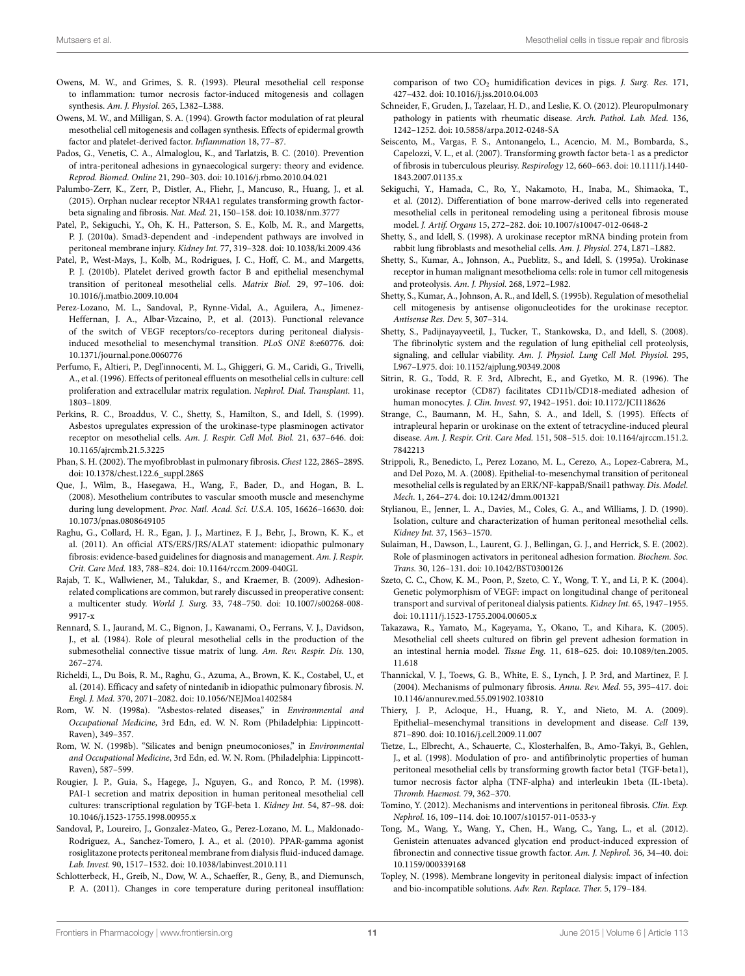- <span id="page-10-13"></span>Owens, M. W., and Grimes, S. R. (1993). Pleural mesothelial cell response to inflammation: tumor necrosis factor-induced mitogenesis and collagen synthesis. *Am. J. Physiol.* 265, L382–L388.
- <span id="page-10-15"></span>Owens, M. W., and Milligan, S. A. (1994). Growth factor modulation of rat pleural mesothelial cell mitogenesis and collagen synthesis. Effects of epidermal growth factor and platelet-derived factor. *Inflammation* 18, 77–87.
- <span id="page-10-33"></span>Pados, G., Venetis, C. A., Almaloglou, K., and Tarlatzis, B. C. (2010). Prevention of intra-peritoneal adhesions in gynaecological surgery: theory and evidence. *Reprod. Biomed. Online* 21, 290–303. doi: 10.1016/j.rbmo.2010.04.021
- <span id="page-10-39"></span>Palumbo-Zerr, K., Zerr, P., Distler, A., Fliehr, J., Mancuso, R., Huang, J., et al. (2015). Orphan nuclear receptor NR4A1 regulates transforming growth factorbeta signaling and fibrosis. *Nat. Med.* 21, 150–158. doi: 10.1038/nm.3777
- <span id="page-10-21"></span>Patel, P., Sekiguchi, Y., Oh, K. H., Patterson, S. E., Kolb, M. R., and Margetts, P. J. (2010a). Smad3-dependent and -independent pathways are involved in peritoneal membrane injury. *Kidney Int.* 77, 319–328. doi: 10.1038/ki.2009.436
- <span id="page-10-20"></span>Patel, P., West-Mays, J., Kolb, M., Rodrigues, J. C., Hoff, C. M., and Margetts, P. J. (2010b). Platelet derived growth factor B and epithelial mesenchymal transition of peritoneal mesothelial cells. *Matrix Biol.* 29, 97–106. doi: 10.1016/j.matbio.2009.10.004
- <span id="page-10-0"></span>Perez-Lozano, M. L., Sandoval, P., Rynne-Vidal, A., Aguilera, A., Jimenez-Heffernan, J. A., Albar-Vizcaino, P., et al. (2013). Functional relevance of the switch of VEGF receptors/co-receptors during peritoneal dialysisinduced mesothelial to mesenchymal transition. *PLoS ONE* 8:e60776. doi: 10.1371/journal.pone.0060776
- <span id="page-10-14"></span>Perfumo, F., Altieri, P., Degl'innocenti, M. L., Ghiggeri, G. M., Caridi, G., Trivelli, A., et al. (1996). Effects of peritoneal effluents on mesothelial cells in culture: cell proliferation and extracellular matrix regulation. *Nephrol. Dial. Transplant.* 11, 1803–1809.
- <span id="page-10-9"></span>Perkins, R. C., Broaddus, V. C., Shetty, S., Hamilton, S., and Idell, S. (1999). Asbestos upregulates expression of the urokinase-type plasminogen activator receptor on mesothelial cells. *Am. J. Respir. Cell Mol. Biol.* 21, 637–646. doi: 10.1165/ajrcmb.21.5.3225
- <span id="page-10-38"></span>Phan, S. H. (2002). The myofibroblast in pulmonary fibrosis. *Chest* 122, 286S–289S. doi: 10.1378/chest.122.6\_suppl.286S
- <span id="page-10-18"></span>Que, J., Wilm, B., Hasegawa, H., Wang, F., Bader, D., and Hogan, B. L. (2008). Mesothelium contributes to vascular smooth muscle and mesenchyme during lung development. *Proc. Natl. Acad. Sci. U.S.A.* 105, 16626–16630. doi: 10.1073/pnas.0808649105
- <span id="page-10-35"></span>Raghu, G., Collard, H. R., Egan, J. J., Martinez, F. J., Behr, J., Brown, K. K., et al. (2011). An official ATS/ERS/JRS/ALAT statement: idiopathic pulmonary fibrosis: evidence-based guidelines for diagnosis and management. *Am. J. Respir. Crit. Care Med.* 183, 788–824. doi: 10.1164/rccm.2009-040GL
- <span id="page-10-31"></span>Rajab, T. K., Wallwiener, M., Talukdar, S., and Kraemer, B. (2009). Adhesionrelated complications are common, but rarely discussed in preoperative consent: a multicenter study. *World J. Surg.* 33, 748–750. doi: 10.1007/s00268-008- 9917-x
- <span id="page-10-12"></span>Rennard, S. I., Jaurand, M. C., Bignon, J., Kawanami, O., Ferrans, V. J., Davidson, J., et al. (1984). Role of pleural mesothelial cells in the production of the submesothelial connective tissue matrix of lung. *Am. Rev. Respir. Dis.* 130, 267–274.
- <span id="page-10-36"></span>Richeldi, L., Du Bois, R. M., Raghu, G., Azuma, A., Brown, K. K., Costabel, U., et al. (2014). Efficacy and safety of nintedanib in idiopathic pulmonary fibrosis. *N. Engl. J. Med.* 370, 2071–2082. doi: 10.1056/NEJMoa1402584
- <span id="page-10-24"></span>Rom, W. N. (1998a). "Asbestos-related diseases," in *Environmental and Occupational Medicine*, 3rd Edn, ed. W. N. Rom (Philadelphia: Lippincott-Raven), 349–357.
- <span id="page-10-25"></span>Rom, W. N. (1998b). "Silicates and benign pneumoconioses," in *Environmental and Occupational Medicine*, 3rd Edn, ed. W. N. Rom. (Philadelphia: Lippincott-Raven), 587–599.
- <span id="page-10-2"></span>Rougier, J. P., Guia, S., Hagege, J., Nguyen, G., and Ronco, P. M. (1998). PAI-1 secretion and matrix deposition in human peritoneal mesothelial cell cultures: transcriptional regulation by TGF-beta 1. *Kidney Int.* 54, 87–98. doi: 10.1046/j.1523-1755.1998.00955.x
- <span id="page-10-1"></span>Sandoval, P., Loureiro, J., Gonzalez-Mateo, G., Perez-Lozano, M. L., Maldonado-Rodriguez, A., Sanchez-Tomero, J. A., et al. (2010). PPAR-gamma agonist rosiglitazone protects peritoneal membrane from dialysis fluid-induced damage. *Lab. Invest.* 90, 1517–1532. doi: 10.1038/labinvest.2010.111
- <span id="page-10-32"></span>Schlotterbeck, H., Greib, N., Dow, W. A., Schaeffer, R., Geny, B., and Diemunsch, P. A. (2011). Changes in core temperature during peritoneal insufflation:

comparison of two CO<sup>2</sup> humidification devices in pigs. *J. Surg. Res.* 171, 427–432. doi: 10.1016/j.jss.2010.04.003

- <span id="page-10-22"></span>Schneider, F., Gruden, J., Tazelaar, H. D., and Leslie, K. O. (2012). Pleuropulmonary pathology in patients with rheumatic disease. *Arch. Pathol. Lab. Med.* 136, 1242–1252. doi: 10.5858/arpa.2012-0248-SA
- <span id="page-10-26"></span>Seiscento, M., Vargas, F. S., Antonangelo, L., Acencio, M. M., Bombarda, S., Capelozzi, V. L., et al. (2007). Transforming growth factor beta-1 as a predictor of fibrosis in tuberculous pleurisy. *Respirology* 12, 660–663. doi: 10.1111/j.1440- 1843.2007.01135.x
- <span id="page-10-30"></span>Sekiguchi, Y., Hamada, C., Ro, Y., Nakamoto, H., Inaba, M., Shimaoka, T., et al. (2012). Differentiation of bone marrow-derived cells into regenerated mesothelial cells in peritoneal remodeling using a peritoneal fibrosis mouse model. *J. Artif. Organs* 15, 272–282. doi: 10.1007/s10047-012-0648-2
- <span id="page-10-4"></span>Shetty, S., and Idell, S. (1998). A urokinase receptor mRNA binding protein from rabbit lung fibroblasts and mesothelial cells. *Am. J. Physiol.* 274, L871–L882.
- <span id="page-10-3"></span>Shetty, S., Kumar, A., Johnson, A., Pueblitz, S., and Idell, S. (1995a). Urokinase receptor in human malignant mesothelioma cells: role in tumor cell mitogenesis and proteolysis. *Am. J. Physiol.* 268, L972–L982.
- <span id="page-10-6"></span>Shetty, S., Kumar, A., Johnson, A. R., and Idell, S. (1995b). Regulation of mesothelial cell mitogenesis by antisense oligonucleotides for the urokinase receptor. *Antisense Res. Dev.* 5, 307–314.
- <span id="page-10-10"></span>Shetty, S., Padijnayayveetil, J., Tucker, T., Stankowska, D., and Idell, S. (2008). The fibrinolytic system and the regulation of lung epithelial cell proteolysis, signaling, and cellular viability. *Am. J. Physiol. Lung Cell Mol. Physiol.* 295, L967–L975. doi: 10.1152/ajplung.90349.2008
- <span id="page-10-5"></span>Sitrin, R. G., Todd, R. F. 3rd, Albrecht, E., and Gyetko, M. R. (1996). The urokinase receptor (CD87) facilitates CD11b/CD18-mediated adhesion of human monocytes. *J. Clin. Invest.* 97, 1942–1951. doi: 10.1172/JCI118626
- <span id="page-10-23"></span>Strange, C., Baumann, M. H., Sahn, S. A., and Idell, S. (1995). Effects of intrapleural heparin or urokinase on the extent of tetracycline-induced pleural disease. *Am. J. Respir. Crit. Care Med.* 151, 508–515. doi: 10.1164/ajrccm.151.2. 7842213
- <span id="page-10-19"></span>Strippoli, R., Benedicto, I., Perez Lozano, M. L., Cerezo, A., Lopez-Cabrera, M., and Del Pozo, M. A. (2008). Epithelial-to-mesenchymal transition of peritoneal mesothelial cells is regulated by an ERK/NF-kappaB/Snail1 pathway. *Dis. Model. Mech.* 1, 264–274. doi: 10.1242/dmm.001321
- <span id="page-10-11"></span>Stylianou, E., Jenner, L. A., Davies, M., Coles, G. A., and Williams, J. D. (1990). Isolation, culture and characterization of human peritoneal mesothelial cells. *Kidney Int.* 37, 1563–1570.
- <span id="page-10-8"></span>Sulaiman, H., Dawson, L., Laurent, G. J., Bellingan, G. J., and Herrick, S. E. (2002). Role of plasminogen activators in peritoneal adhesion formation. *Biochem. Soc. Trans.* 30, 126–131. doi: 10.1042/BST0300126
- <span id="page-10-29"></span>Szeto, C. C., Chow, K. M., Poon, P., Szeto, C. Y., Wong, T. Y., and Li, P. K. (2004). Genetic polymorphism of VEGF: impact on longitudinal change of peritoneal transport and survival of peritoneal dialysis patients. *Kidney Int.* 65, 1947–1955. doi: 10.1111/j.1523-1755.2004.00605.x
- <span id="page-10-34"></span>Takazawa, R., Yamato, M., Kageyama, Y., Okano, T., and Kihara, K. (2005). Mesothelial cell sheets cultured on fibrin gel prevent adhesion formation in an intestinal hernia model. *Tissue Eng.* 11, 618–625. doi: 10.1089/ten.2005. 11.618
- <span id="page-10-37"></span>Thannickal, V. J., Toews, G. B., White, E. S., Lynch, J. P. 3rd, and Martinez, F. J. (2004). Mechanisms of pulmonary fibrosis. *Annu. Rev. Med.* 55, 395–417. doi: 10.1146/annurev.med.55.091902.103810
- <span id="page-10-17"></span>Thiery, J. P., Acloque, H., Huang, R. Y., and Nieto, M. A. (2009). Epithelial–mesenchymal transitions in development and disease. *Cell* 139, 871–890. doi: 10.1016/j.cell.2009.11.007
- <span id="page-10-7"></span>Tietze, L., Elbrecht, A., Schauerte, C., Klosterhalfen, B., Amo-Takyi, B., Gehlen, J., et al. (1998). Modulation of pro- and antifibrinolytic properties of human peritoneal mesothelial cells by transforming growth factor beta1 (TGF-beta1), tumor necrosis factor alpha (TNF-alpha) and interleukin 1beta (IL-1beta). *Thromb. Haemost.* 79, 362–370.
- <span id="page-10-28"></span>Tomino, Y. (2012). Mechanisms and interventions in peritoneal fibrosis. *Clin. Exp. Nephrol.* 16, 109–114. doi: 10.1007/s10157-011-0533-y
- <span id="page-10-16"></span>Tong, M., Wang, Y., Wang, Y., Chen, H., Wang, C., Yang, L., et al. (2012). Genistein attenuates advanced glycation end product-induced expression of fibronectin and connective tissue growth factor. *Am. J. Nephrol.* 36, 34–40. doi: 10.1159/000339168
- <span id="page-10-27"></span>Topley, N. (1998). Membrane longevity in peritoneal dialysis: impact of infection and bio-incompatible solutions. *Adv. Ren. Replace. Ther.* 5, 179–184.